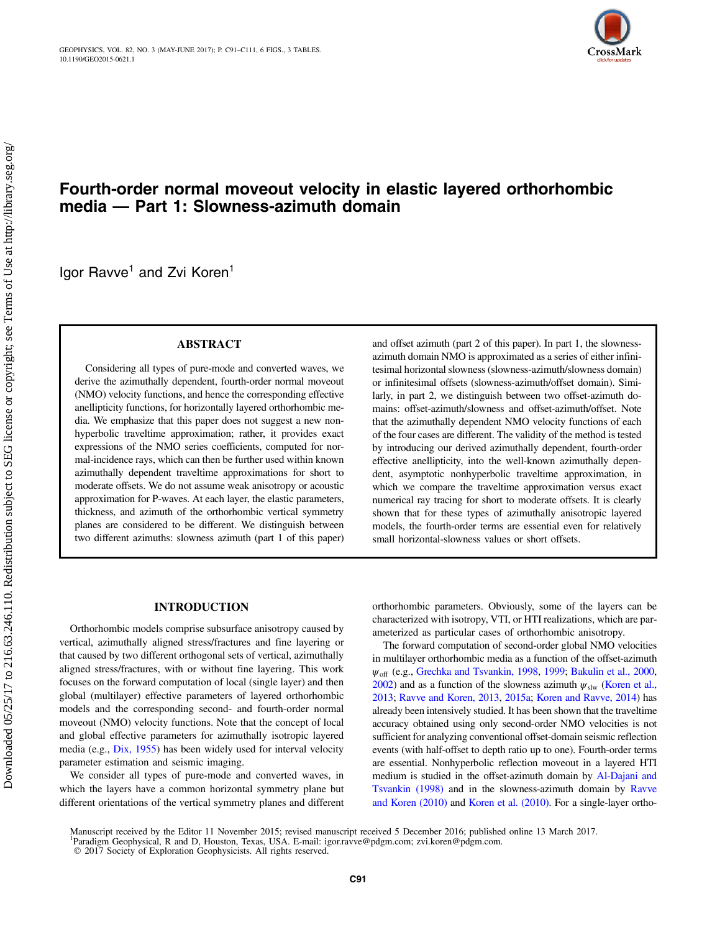

# Fourth-order normal moveout velocity in elastic layered orthorhombic media — Part 1: Slowness-azimuth domain

Igor Ravve<sup>1</sup> and Zvi Koren<sup>1</sup>

# ABSTRACT

Considering all types of pure-mode and converted waves, we derive the azimuthally dependent, fourth-order normal moveout (NMO) velocity functions, and hence the corresponding effective anellipticity functions, for horizontally layered orthorhombic media. We emphasize that this paper does not suggest a new nonhyperbolic traveltime approximation; rather, it provides exact expressions of the NMO series coefficients, computed for normal-incidence rays, which can then be further used within known azimuthally dependent traveltime approximations for short to moderate offsets. We do not assume weak anisotropy or acoustic approximation for P-waves. At each layer, the elastic parameters, thickness, and azimuth of the orthorhombic vertical symmetry planes are considered to be different. We distinguish between two different azimuths: slowness azimuth (part 1 of this paper) and offset azimuth (part 2 of this paper). In part 1, the slownessazimuth domain NMO is approximated as a series of either infinitesimal horizontal slowness (slowness-azimuth/slowness domain) or infinitesimal offsets (slowness-azimuth/offset domain). Similarly, in part 2, we distinguish between two offset-azimuth domains: offset-azimuth/slowness and offset-azimuth/offset. Note that the azimuthally dependent NMO velocity functions of each of the four cases are different. The validity of the method is tested by introducing our derived azimuthally dependent, fourth-order effective anellipticity, into the well-known azimuthally dependent, asymptotic nonhyperbolic traveltime approximation, in which we compare the traveltime approximation versus exact numerical ray tracing for short to moderate offsets. It is clearly shown that for these types of azimuthally anisotropic layered models, the fourth-order terms are essential even for relatively small horizontal-slowness values or short offsets.

## INTRODUCTION

Orthorhombic models comprise subsurface anisotropy caused by vertical, azimuthally aligned stress/fractures and fine layering or that caused by two different orthogonal sets of vertical, azimuthally aligned stress/fractures, with or without fine layering. This work focuses on the forward computation of local (single layer) and then global (multilayer) effective parameters of layered orthorhombic models and the corresponding second- and fourth-order normal moveout (NMO) velocity functions. Note that the concept of local and global effective parameters for azimuthally isotropic layered media (e.g., [Dix, 1955\)](#page-19-0) has been widely used for interval velocity parameter estimation and seismic imaging.

We consider all types of pure-mode and converted waves, in which the layers have a common horizontal symmetry plane but different orientations of the vertical symmetry planes and different orthorhombic parameters. Obviously, some of the layers can be characterized with isotropy, VTI, or HTI realizations, which are parameterized as particular cases of orthorhombic anisotropy.

The forward computation of second-order global NMO velocities in multilayer orthorhombic media as a function of the offset-azimuth  $\psi_{\text{off}}$  (e.g., [Grechka and Tsvankin, 1998](#page-19-0), [1999;](#page-19-0) [Bakulin et al., 2000,](#page-19-0) [2002](#page-19-0)) and as a function of the slowness azimuth  $\psi_{\text{slw}}$  [\(Koren et al.,](#page-19-0) [2013](#page-19-0); [Ravve and Koren, 2013,](#page-20-0) [2015a;](#page-20-0) [Koren and Ravve, 2014\)](#page-19-0) has already been intensively studied. It has been shown that the traveltime accuracy obtained using only second-order NMO velocities is not sufficient for analyzing conventional offset-domain seismic reflection events (with half-offset to depth ratio up to one). Fourth-order terms are essential. Nonhyperbolic reflection moveout in a layered HTI medium is studied in the offset-azimuth domain by [Al-Dajani and](#page-19-0) [Tsvankin \(1998\)](#page-19-0) and in the slowness-azimuth domain by [Ravve](#page-20-0) [and Koren \(2010\)](#page-20-0) and [Koren et al. \(2010\)](#page-19-0). For a single-layer ortho-

Manuscript received by the Editor 11 November 2015; revised manuscript received 5 December 2016; published online 13 March 2017. <sup>1</sup>Paradigm Geophysical, R and D, Houston, Texas, USA. E-mail: igor.ravve@pdgm.com; zvi.koren@pdgm.com. © 2017 Society of Exploration Geophysicists. All rights reserved.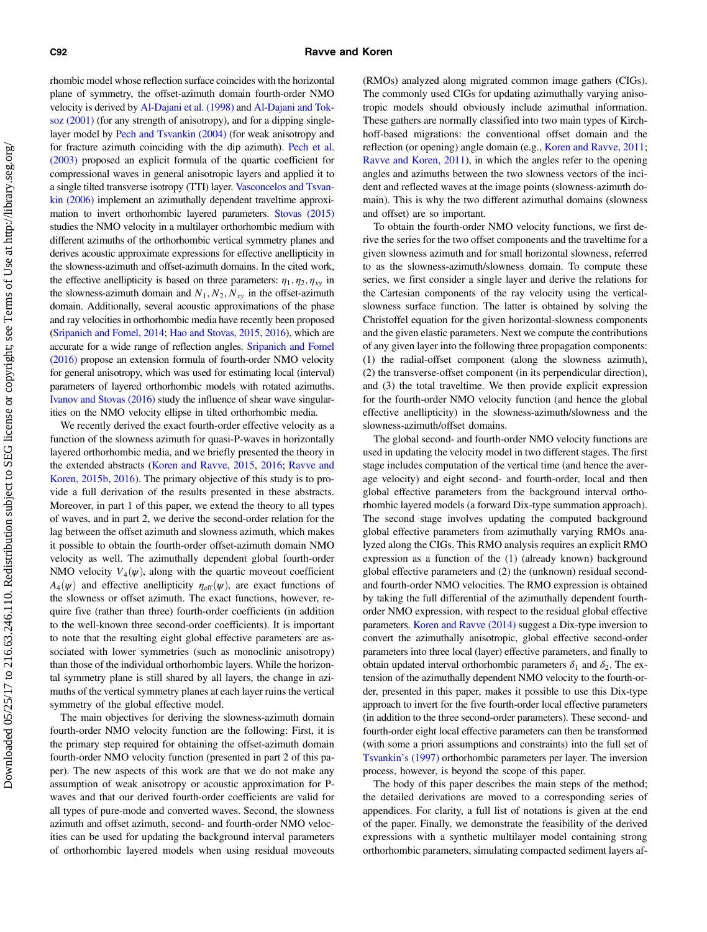rhombic model whose reflection surface coincides with the horizontal plane of symmetry, the offset-azimuth domain fourth-order NMO velocity is derived by [Al-Dajani et al. \(1998\)](#page-19-0) and [Al-Dajani and Tok](#page-19-0)[soz \(2001\)](#page-19-0) (for any strength of anisotropy), and for a dipping singlelayer model by [Pech and Tsvankin \(2004\)](#page-19-0) (for weak anisotropy and for fracture azimuth coinciding with the dip azimuth). [Pech et al.](#page-19-0) [\(2003\)](#page-19-0) proposed an explicit formula of the quartic coefficient for compressional waves in general anisotropic layers and applied it to a single tilted transverse isotropy (TTI) layer. [Vasconcelos and Tsvan](#page-20-0)[kin \(2006\)](#page-20-0) implement an azimuthally dependent traveltime approximation to invert orthorhombic layered parameters. [Stovas \(2015\)](#page-20-0) studies the NMO velocity in a multilayer orthorhombic medium with different azimuths of the orthorhombic vertical symmetry planes and derives acoustic approximate expressions for effective anellipticity in the slowness-azimuth and offset-azimuth domains. In the cited work, the effective anellipticity is based on three parameters:  $\eta_1, \eta_2, \eta_{xy}$  in the slowness-azimuth domain and  $N_1, N_2, N_{xy}$  in the offset-azimuth domain. Additionally, several acoustic approximations of the phase and ray velocities in orthorhombic media have recently been proposed ([Sripanich and Fomel, 2014](#page-20-0); [Hao and Stovas, 2015](#page-19-0), [2016](#page-19-0)), which are accurate for a wide range of reflection angles. [Sripanich and Fomel](#page-20-0) [\(2016\)](#page-20-0) propose an extension formula of fourth-order NMO velocity for general anisotropy, which was used for estimating local (interval) parameters of layered orthorhombic models with rotated azimuths. [Ivanov and Stovas \(2016\)](#page-19-0) study the influence of shear wave singularities on the NMO velocity ellipse in tilted orthorhombic media.

We recently derived the exact fourth-order effective velocity as a function of the slowness azimuth for quasi-P-waves in horizontally layered orthorhombic media, and we briefly presented the theory in the extended abstracts ([Koren and Ravve, 2015](#page-19-0), [2016](#page-19-0); [Ravve and](#page-20-0) [Koren, 2015b,](#page-20-0) [2016](#page-20-0)). The primary objective of this study is to provide a full derivation of the results presented in these abstracts. Moreover, in part 1 of this paper, we extend the theory to all types of waves, and in part 2, we derive the second-order relation for the lag between the offset azimuth and slowness azimuth, which makes it possible to obtain the fourth-order offset-azimuth domain NMO velocity as well. The azimuthally dependent global fourth-order NMO velocity  $V_4(\psi)$ , along with the quartic moveout coefficient  $A_4(\psi)$  and effective anellipticity  $\eta_{\text{eff}}(\psi)$ , are exact functions of the slowness or offset azimuth. The exact functions, however, require five (rather than three) fourth-order coefficients (in addition to the well-known three second-order coefficients). It is important to note that the resulting eight global effective parameters are associated with lower symmetries (such as monoclinic anisotropy) than those of the individual orthorhombic layers. While the horizontal symmetry plane is still shared by all layers, the change in azimuths of the vertical symmetry planes at each layer ruins the vertical symmetry of the global effective model.

The main objectives for deriving the slowness-azimuth domain fourth-order NMO velocity function are the following: First, it is the primary step required for obtaining the offset-azimuth domain fourth-order NMO velocity function (presented in part 2 of this paper). The new aspects of this work are that we do not make any assumption of weak anisotropy or acoustic approximation for Pwaves and that our derived fourth-order coefficients are valid for all types of pure-mode and converted waves. Second, the slowness azimuth and offset azimuth, second- and fourth-order NMO velocities can be used for updating the background interval parameters of orthorhombic layered models when using residual moveouts (RMOs) analyzed along migrated common image gathers (CIGs). The commonly used CIGs for updating azimuthally varying anisotropic models should obviously include azimuthal information. These gathers are normally classified into two main types of Kirchhoff-based migrations: the conventional offset domain and the reflection (or opening) angle domain (e.g., [Koren and Ravve, 2011;](#page-19-0) [Ravve and Koren, 2011](#page-20-0)), in which the angles refer to the opening angles and azimuths between the two slowness vectors of the incident and reflected waves at the image points (slowness-azimuth domain). This is why the two different azimuthal domains (slowness and offset) are so important.

To obtain the fourth-order NMO velocity functions, we first derive the series for the two offset components and the traveltime for a given slowness azimuth and for small horizontal slowness, referred to as the slowness-azimuth/slowness domain. To compute these series, we first consider a single layer and derive the relations for the Cartesian components of the ray velocity using the verticalslowness surface function. The latter is obtained by solving the Christoffel equation for the given horizontal-slowness components and the given elastic parameters. Next we compute the contributions of any given layer into the following three propagation components: (1) the radial-offset component (along the slowness azimuth), (2) the transverse-offset component (in its perpendicular direction), and (3) the total traveltime. We then provide explicit expression for the fourth-order NMO velocity function (and hence the global effective anellipticity) in the slowness-azimuth/slowness and the slowness-azimuth/offset domains.

The global second- and fourth-order NMO velocity functions are used in updating the velocity model in two different stages. The first stage includes computation of the vertical time (and hence the average velocity) and eight second- and fourth-order, local and then global effective parameters from the background interval orthorhombic layered models (a forward Dix-type summation approach). The second stage involves updating the computed background global effective parameters from azimuthally varying RMOs analyzed along the CIGs. This RMO analysis requires an explicit RMO expression as a function of the (1) (already known) background global effective parameters and (2) the (unknown) residual secondand fourth-order NMO velocities. The RMO expression is obtained by taking the full differential of the azimuthally dependent fourthorder NMO expression, with respect to the residual global effective parameters. [Koren and Ravve \(2014\)](#page-19-0) suggest a Dix-type inversion to convert the azimuthally anisotropic, global effective second-order parameters into three local (layer) effective parameters, and finally to obtain updated interval orthorhombic parameters  $\delta_1$  and  $\delta_2$ . The extension of the azimuthally dependent NMO velocity to the fourth-order, presented in this paper, makes it possible to use this Dix-type approach to invert for the five fourth-order local effective parameters (in addition to the three second-order parameters). These second- and fourth-order eight local effective parameters can then be transformed (with some a priori assumptions and constraints) into the full set of [Tsvankin](#page-20-0)'s (1997) orthorhombic parameters per layer. The inversion process, however, is beyond the scope of this paper.

The body of this paper describes the main steps of the method; the detailed derivations are moved to a corresponding series of appendices. For clarity, a full list of notations is given at the end of the paper. Finally, we demonstrate the feasibility of the derived expressions with a synthetic multilayer model containing strong orthorhombic parameters, simulating compacted sediment layers af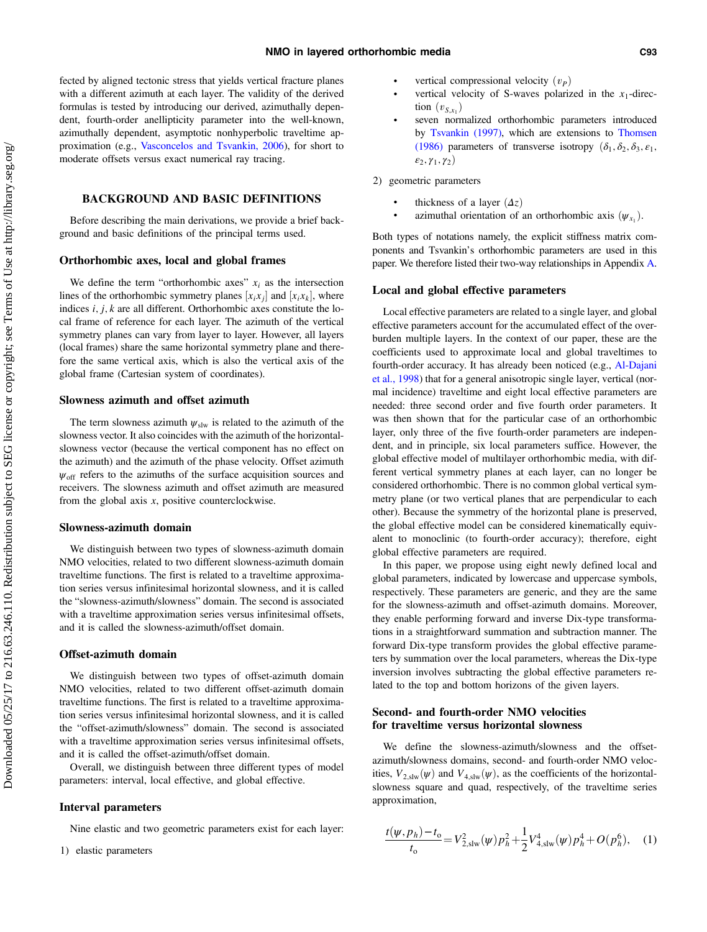fected by aligned tectonic stress that yields vertical fracture planes with a different azimuth at each layer. The validity of the derived formulas is tested by introducing our derived, azimuthally dependent, fourth-order anellipticity parameter into the well-known, azimuthally dependent, asymptotic nonhyperbolic traveltime approximation (e.g., [Vasconcelos and Tsvankin, 2006\)](#page-20-0), for short to moderate offsets versus exact numerical ray tracing.

# BACKGROUND AND BASIC DEFINITIONS

Before describing the main derivations, we provide a brief background and basic definitions of the principal terms used.

#### Orthorhombic axes, local and global frames

We define the term "orthorhombic axes"  $x_i$  as the intersection lines of the orthorhombic symmetry planes  $[x_ix_j]$  and  $[x_ix_k]$ , where indices  $i, j, k$  are all different. Orthorhombic axes constitute the local frame of reference for each layer. The azimuth of the vertical symmetry planes can vary from layer to layer. However, all layers (local frames) share the same horizontal symmetry plane and therefore the same vertical axis, which is also the vertical axis of the global frame (Cartesian system of coordinates).

#### Slowness azimuth and offset azimuth

The term slowness azimuth  $\psi_{\text{slw}}$  is related to the azimuth of the slowness vector. It also coincides with the azimuth of the horizontalslowness vector (because the vertical component has no effect on the azimuth) and the azimuth of the phase velocity. Offset azimuth  $\psi_{\text{off}}$  refers to the azimuths of the surface acquisition sources and receivers. The slowness azimuth and offset azimuth are measured from the global axis  $x$ , positive counterclockwise.

#### Slowness-azimuth domain

We distinguish between two types of slowness-azimuth domain NMO velocities, related to two different slowness-azimuth domain traveltime functions. The first is related to a traveltime approximation series versus infinitesimal horizontal slowness, and it is called the "slowness-azimuth/slowness" domain. The second is associated with a traveltime approximation series versus infinitesimal offsets, and it is called the slowness-azimuth/offset domain.

# Offset-azimuth domain

We distinguish between two types of offset-azimuth domain NMO velocities, related to two different offset-azimuth domain traveltime functions. The first is related to a traveltime approximation series versus infinitesimal horizontal slowness, and it is called the "offset-azimuth/slowness" domain. The second is associated with a traveltime approximation series versus infinitesimal offsets, and it is called the offset-azimuth/offset domain.

Overall, we distinguish between three different types of model parameters: interval, local effective, and global effective.

# Interval parameters

Nine elastic and two geometric parameters exist for each layer:

1) elastic parameters

- •vertical compressional velocity  $(v_P)$
- •vertical velocity of S-waves polarized in the  $x_1$ -direction  $(v_{S,x_1})$
- • seven normalized orthorhombic parameters introduced by [Tsvankin \(1997\)](#page-20-0), which are extensions to [Thomsen](#page-20-0) [\(1986\)](#page-20-0) parameters of transverse isotropy  $(\delta_1, \delta_2, \delta_3, \varepsilon_1)$ ,  $\varepsilon_2, \gamma_1, \gamma_2$
- 2) geometric parameters
	- •thickness of a layer  $(\Delta z)$
	- •azimuthal orientation of an orthorhombic axis  $(\psi_{x_1})$ .

Both types of notations namely, the explicit stiffness matrix components and Tsvankin's orthorhombic parameters are used in this paper. We therefore listed their two-way relationships in Appendix [A.](#page-13-0)

#### Local and global effective parameters

Local effective parameters are related to a single layer, and global effective parameters account for the accumulated effect of the overburden multiple layers. In the context of our paper, these are the coefficients used to approximate local and global traveltimes to fourth-order accuracy. It has already been noticed (e.g., [Al-Dajani](#page-19-0) [et al., 1998](#page-19-0)) that for a general anisotropic single layer, vertical (normal incidence) traveltime and eight local effective parameters are needed: three second order and five fourth order parameters. It was then shown that for the particular case of an orthorhombic layer, only three of the five fourth-order parameters are independent, and in principle, six local parameters suffice. However, the global effective model of multilayer orthorhombic media, with different vertical symmetry planes at each layer, can no longer be considered orthorhombic. There is no common global vertical symmetry plane (or two vertical planes that are perpendicular to each other). Because the symmetry of the horizontal plane is preserved, the global effective model can be considered kinematically equivalent to monoclinic (to fourth-order accuracy); therefore, eight global effective parameters are required.

In this paper, we propose using eight newly defined local and global parameters, indicated by lowercase and uppercase symbols, respectively. These parameters are generic, and they are the same for the slowness-azimuth and offset-azimuth domains. Moreover, they enable performing forward and inverse Dix-type transformations in a straightforward summation and subtraction manner. The forward Dix-type transform provides the global effective parameters by summation over the local parameters, whereas the Dix-type inversion involves subtracting the global effective parameters related to the top and bottom horizons of the given layers.

# Second- and fourth-order NMO velocities for traveltime versus horizontal slowness

We define the slowness-azimuth/slowness and the offsetazimuth/slowness domains, second- and fourth-order NMO velocities,  $V_{2,slw}(\psi)$  and  $V_{4,slw}(\psi)$ , as the coefficients of the horizontalslowness square and quad, respectively, of the traveltime series approximation,

$$
\frac{t(\psi, p_h) - t_o}{t_o} = V_{2, \text{slw}}^2(\psi) p_h^2 + \frac{1}{2} V_{4, \text{slw}}^4(\psi) p_h^4 + O(p_h^6), \quad (1)
$$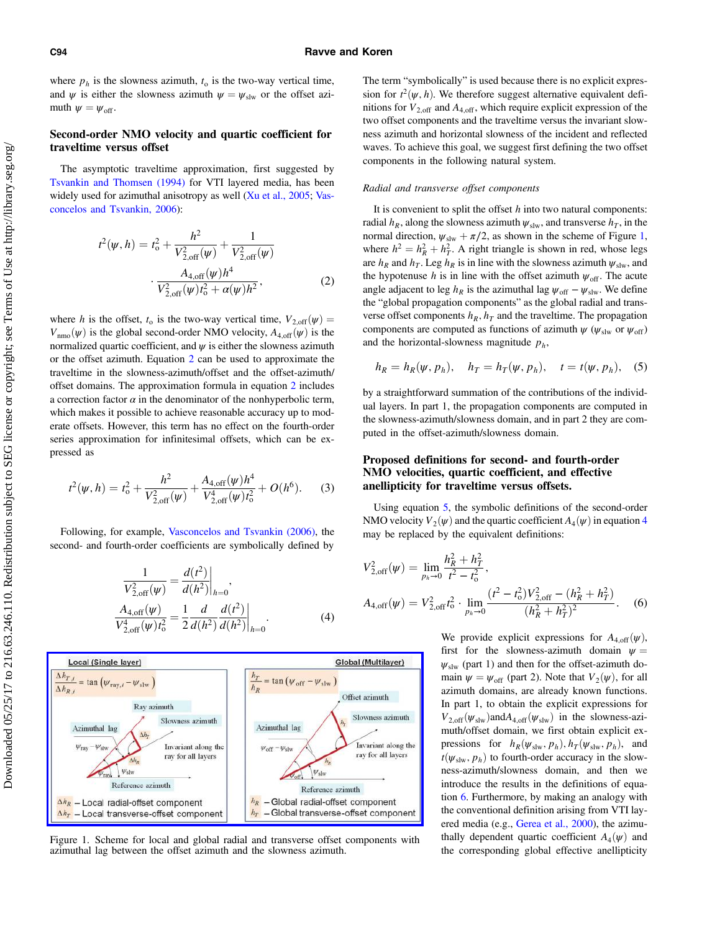## <span id="page-3-0"></span>C94 Ravve and Koren

where  $p_h$  is the slowness azimuth,  $t_0$  is the two-way vertical time, and  $\psi$  is either the slowness azimuth  $\psi = \psi_{\text{slw}}$  or the offset azimuth  $\psi = \psi_{\text{off}}$ .

# Second-order NMO velocity and quartic coefficient for traveltime versus offset

The asymptotic traveltime approximation, first suggested by [Tsvankin and Thomsen \(1994\)](#page-20-0) for VTI layered media, has been widely used for azimuthal anisotropy as well [\(Xu et al., 2005](#page-20-0); [Vas](#page-20-0)[concelos and Tsvankin, 2006](#page-20-0)):

$$
t^{2}(\psi, h) = t_{o}^{2} + \frac{h^{2}}{V_{2,off}^{2}(\psi)} + \frac{1}{V_{2,off}^{2}(\psi)}
$$

$$
\cdot \frac{A_{4,off}(\psi)h^{4}}{V_{2,off}^{2}(\psi)t_{o}^{2} + \alpha(\psi)h^{2}},
$$
(2)

where h is the offset,  $t_0$  is the two-way vertical time,  $V_{2,\text{off}}(\psi) =$  $V_{\text{nmo}}(\psi)$  is the global second-order NMO velocity,  $A_{4,\text{off}}(\psi)$  is the normalized quartic coefficient, and  $\psi$  is either the slowness azimuth or the offset azimuth. Equation 2 can be used to approximate the traveltime in the slowness-azimuth/offset and the offset-azimuth/ offset domains. The approximation formula in equation 2 includes a correction factor  $\alpha$  in the denominator of the nonhyperbolic term, which makes it possible to achieve reasonable accuracy up to moderate offsets. However, this term has no effect on the fourth-order series approximation for infinitesimal offsets, which can be expressed as

$$
t^{2}(\psi, h) = t_{o}^{2} + \frac{h^{2}}{V_{2, \text{off}}^{2}(\psi)} + \frac{A_{4, \text{off}}(\psi)h^{4}}{V_{2, \text{off}}^{4}(\psi)t_{o}^{2}} + O(h^{6}).
$$
 (3)

Following, for example, [Vasconcelos and Tsvankin \(2006\),](#page-20-0) the second- and fourth-order coefficients are symbolically defined by

$$
\frac{1}{V_{2,\text{off}}^2(\psi)} = \frac{d(t^2)}{d(h^2)}\Big|_{h=0},
$$
\n
$$
\frac{A_{4,\text{off}}(\psi)}{V_{2,\text{off}}^4(\psi)t_0^2} = \frac{1}{2} \frac{d}{d(h^2)} \frac{d(t^2)}{d(h^2)}\Big|_{h=0}.
$$
\n(4)



Figure 1. Scheme for local and global radial and transverse offset components with azimuthal lag between the offset azimuth and the slowness azimuth.

The term "symbolically" is used because there is no explicit expression for  $t^2(\psi, h)$ . We therefore suggest alternative equivalent definitions for  $V_{2,\text{off}}$  and  $A_{4,\text{off}}$ , which require explicit expression of the two offset components and the traveltime versus the invariant slowness azimuth and horizontal slowness of the incident and reflected waves. To achieve this goal, we suggest first defining the two offset components in the following natural system.

#### Radial and transverse offset components

It is convenient to split the offset  $h$  into two natural components: radial  $h_R$ , along the slowness azimuth  $\psi_{\text{slw}}$ , and transverse  $h_T$ , in the normal direction,  $\psi_{\rm slw} + \pi/2$ , as shown in the scheme of Figure 1, where  $h^2 = h_R^2 + h_T^2$ . A right triangle is shown in red, whose legs are  $h_R$  and  $h_T$ . Leg  $h_R$  is in line with the slowness azimuth  $\psi_{\text{slw}}$ , and the hypotenuse h is in line with the offset azimuth  $\psi_{\text{off}}$ . The acute angle adjacent to leg  $h_R$  is the azimuthal lag  $\psi_{\text{off}} - \psi_{\text{slw}}$ . We define the "global propagation components" as the global radial and transverse offset components  $h_R$ ,  $h_T$  and the traveltime. The propagation components are computed as functions of azimuth  $\psi$  ( $\psi_{\text{slw}}$  or  $\psi_{\text{off}}$ ) and the horizontal-slowness magnitude  $p_h$ ,

$$
h_R = h_R(\psi, p_h), \quad h_T = h_T(\psi, p_h), \quad t = t(\psi, p_h), \quad (5)
$$

by a straightforward summation of the contributions of the individual layers. In part 1, the propagation components are computed in the slowness-azimuth/slowness domain, and in part 2 they are computed in the offset-azimuth/slowness domain.

# Proposed definitions for second- and fourth-order NMO velocities, quartic coefficient, and effective anellipticity for traveltime versus offsets.

Using equation 5, the symbolic definitions of the second-order NMO velocity  $V_2(\psi)$  and the quartic coefficient  $A_4(\psi)$  in equation 4 may be replaced by the equivalent definitions:

$$
V_{2, \text{off}}^2(\psi) = \lim_{p_h \to 0} \frac{h_R^2 + h_T^2}{t^2 - t_0^2},
$$
  

$$
A_{4, \text{off}}(\psi) = V_{2, \text{off}}^2 t_0^2 \cdot \lim_{p_h \to 0} \frac{(t^2 - t_0^2) V_{2, \text{off}}^2 - (h_R^2 + h_T^2)}{(h_R^2 + h_T^2)^2}.
$$
 (6)

We provide explicit expressions for  $A_{4,off}(\psi)$ , first for the slowness-azimuth domain  $\psi =$  $\psi_{\text{slw}}$  (part 1) and then for the offset-azimuth domain  $\psi = \psi_{\text{off}}$  (part 2). Note that  $V_2(\psi)$ , for all azimuth domains, are already known functions. In part 1, to obtain the explicit expressions for  $V_{2,\text{off}}(\psi_{\text{slw}})$  and  $A_{4,\text{off}}(\psi_{\text{slw}})$  in the slowness-azimuth/offset domain, we first obtain explicit expressions for  $h_R(\psi_{\text{slw}}, p_h)$ ,  $h_T(\psi_{\text{slw}}, p_h)$ , and  $t(\psi_{\text{slw}}, p_h)$  to fourth-order accuracy in the slowness-azimuth/slowness domain, and then we introduce the results in the definitions of equation 6. Furthermore, by making an analogy with the conventional definition arising from VTI layered media (e.g., [Gerea et al., 2000](#page-19-0)), the azimuthally dependent quartic coefficient  $A_4(\psi)$  and the corresponding global effective anellipticity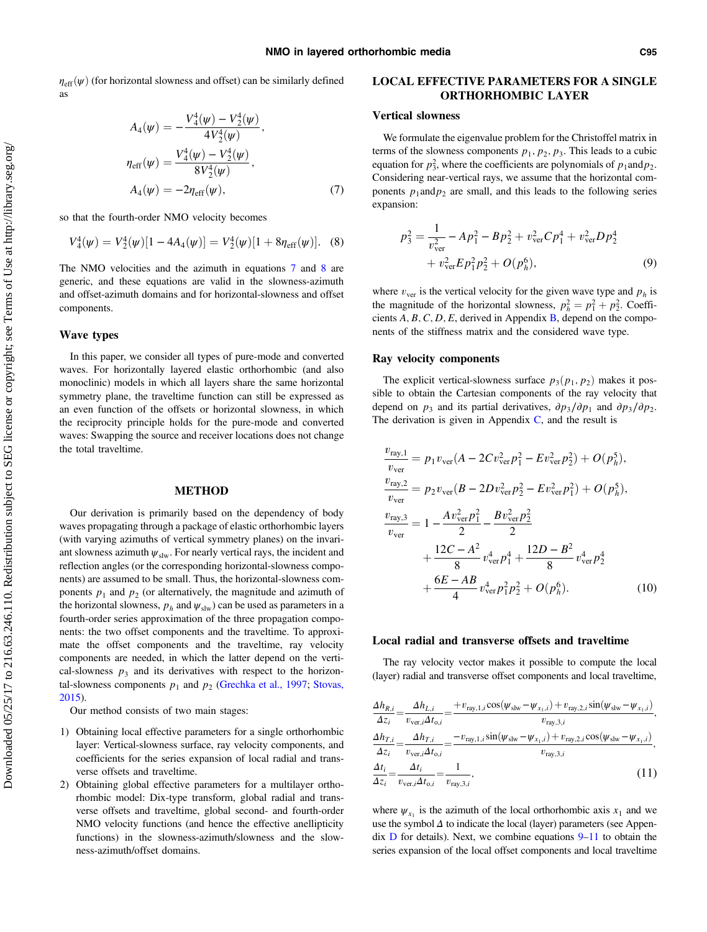<span id="page-4-0"></span> $\eta_{\text{eff}}(\psi)$  (for horizontal slowness and offset) can be similarly defined as

$$
A_4(\psi) = -\frac{V_4^4(\psi) - V_2^4(\psi)}{4V_2^4(\psi)},
$$
  
\n
$$
\eta_{eff}(\psi) = \frac{V_4^4(\psi) - V_2^4(\psi)}{8V_2^4(\psi)},
$$
  
\n
$$
A_4(\psi) = -2\eta_{eff}(\psi),
$$
\n(7)

so that the fourth-order NMO velocity becomes

$$
V_4^4(\psi) = V_2^4(\psi)[1 - 4A_4(\psi)] = V_2^4(\psi)[1 + 8\eta_{\text{eff}}(\psi)].
$$
 (8)

The NMO velocities and the azimuth in equations 7 and 8 are generic, and these equations are valid in the slowness-azimuth and offset-azimuth domains and for horizontal-slowness and offset components.

#### Wave types

In this paper, we consider all types of pure-mode and converted waves. For horizontally layered elastic orthorhombic (and also monoclinic) models in which all layers share the same horizontal symmetry plane, the traveltime function can still be expressed as an even function of the offsets or horizontal slowness, in which the reciprocity principle holds for the pure-mode and converted waves: Swapping the source and receiver locations does not change the total traveltime.

#### METHOD

Our derivation is primarily based on the dependency of body waves propagating through a package of elastic orthorhombic layers (with varying azimuths of vertical symmetry planes) on the invariant slowness azimuth  $\psi_{\rm slw}$ . For nearly vertical rays, the incident and reflection angles (or the corresponding horizontal-slowness components) are assumed to be small. Thus, the horizontal-slowness components  $p_1$  and  $p_2$  (or alternatively, the magnitude and azimuth of the horizontal slowness,  $p_h$  and  $\psi_{\text{slw}}$ ) can be used as parameters in a fourth-order series approximation of the three propagation components: the two offset components and the traveltime. To approximate the offset components and the traveltime, ray velocity components are needed, in which the latter depend on the vertical-slowness  $p_3$  and its derivatives with respect to the horizontal-slowness components  $p_1$  and  $p_2$  ([Grechka et al., 1997](#page-19-0); [Stovas,](#page-20-0) [2015\)](#page-20-0).

Our method consists of two main stages:

- 1) Obtaining local effective parameters for a single orthorhombic layer: Vertical-slowness surface, ray velocity components, and coefficients for the series expansion of local radial and transverse offsets and traveltime.
- 2) Obtaining global effective parameters for a multilayer orthorhombic model: Dix-type transform, global radial and transverse offsets and traveltime, global second- and fourth-order NMO velocity functions (and hence the effective anellipticity functions) in the slowness-azimuth/slowness and the slowness-azimuth/offset domains.

# LOCAL EFFECTIVE PARAMETERS FOR A SINGLE ORTHORHOMBIC LAYER

## Vertical slowness

We formulate the eigenvalue problem for the Christoffel matrix in terms of the slowness components  $p_1$ ,  $p_2$ ,  $p_3$ . This leads to a cubic equation for  $p_3^2$ , where the coefficients are polynomials of  $p_1$  and  $p_2$ . Considering near-vertical rays, we assume that the horizontal components  $p_1$  and  $p_2$  are small, and this leads to the following series expansion:

$$
p_3^2 = \frac{1}{v_{\text{ver}}^2} - Ap_1^2 - Bp_2^2 + v_{\text{ver}}^2 Cp_1^4 + v_{\text{ver}}^2 Dp_2^4
$$
  
+ 
$$
v_{\text{ver}}^2 Ep_1^2 p_2^2 + O(p_h^6),
$$
 (9)

where  $v_{\text{ver}}$  is the vertical velocity for the given wave type and  $p_h$  is the magnitude of the horizontal slowness,  $p_h^2 = p_1^2 + p_2^2$ . Coefficients  $A, B, C, D, E$  $A, B, C, D, E$  $A, B, C, D, E$ , derived in Appendix  $B$ , depend on the components of the stiffness matrix and the considered wave type.

# Ray velocity components

The explicit vertical-slowness surface  $p_3(p_1, p_2)$  makes it possible to obtain the Cartesian components of the ray velocity that depend on  $p_3$  and its partial derivatives,  $\partial p_3/\partial p_1$  and  $\partial p_3/\partial p_2$ . The derivation is given in Appendix  $C$ , and the result is

$$
\frac{v_{\text{ray,1}}}{v_{\text{ver}}} = p_1 v_{\text{ver}} (A - 2C v_{\text{ver}}^2 p_1^2 - E v_{\text{ver}}^2 p_2^2) + O(p_h^5),
$$
  
\n
$$
\frac{v_{\text{ray,2}}}{v_{\text{ver}}} = p_2 v_{\text{ver}} (B - 2D v_{\text{ver}}^2 p_2^2 - E v_{\text{ver}}^2 p_1^2) + O(p_h^5),
$$
  
\n
$$
\frac{v_{\text{ray,3}}}{v_{\text{ver}}} = 1 - \frac{A v_{\text{ver}}^2 p_1^2}{2} - \frac{B v_{\text{ver}}^2 p_2^2}{2}
$$
  
\n
$$
+ \frac{12C - A^2}{8} v_{\text{ver}}^4 p_1^4 + \frac{12D - B^2}{8} v_{\text{ver}}^4 p_2^4
$$
  
\n
$$
+ \frac{6E - AB}{4} v_{\text{ver}}^4 p_1^2 p_2^2 + O(p_h^6).
$$
 (10)

#### Local radial and transverse offsets and traveltime

The ray velocity vector makes it possible to compute the local (layer) radial and transverse offset components and local traveltime,

$$
\frac{\Delta h_{R,i}}{\Delta z_i} = \frac{\Delta h_{L,i}}{v_{\text{ver},i}\Delta t_{0,i}} = \frac{+v_{\text{ray},1,i}\cos(\psi_{\text{slw}} - \psi_{x_1,i}) + v_{\text{ray},2,i}\sin(\psi_{\text{slw}} - \psi_{x_1,i})}{v_{\text{ray},3,i}},
$$
\n
$$
\frac{\Delta h_{T,i}}{\Delta z_i} = \frac{\Delta h_{T,i}}{v_{\text{ver},i}\Delta t_{0,i}} = \frac{-v_{\text{ray},1,i}\sin(\psi_{\text{slw}} - \psi_{x_1,i}) + v_{\text{ray},2,i}\cos(\psi_{\text{slw}} - \psi_{x_1,i})}{v_{\text{ray},3,i}},
$$
\n
$$
\frac{\Delta t_i}{\Delta z_i} = \frac{\Delta t_i}{v_{\text{ver},i}\Delta t_{0,i}} = \frac{1}{v_{\text{rw},3,i}},
$$
\n(11)

where  $\psi_{x_1}$  is the azimuth of the local orthorhombic axis  $x_1$  and we use the symbol  $\Delta$  to indicate the local (layer) parameters (see Appendix  $\overline{D}$  $\overline{D}$  $\overline{D}$  for details). Next, we combine equations  $\overline{9}$ –11 to obtain the series expansion of the local offset components and local traveltime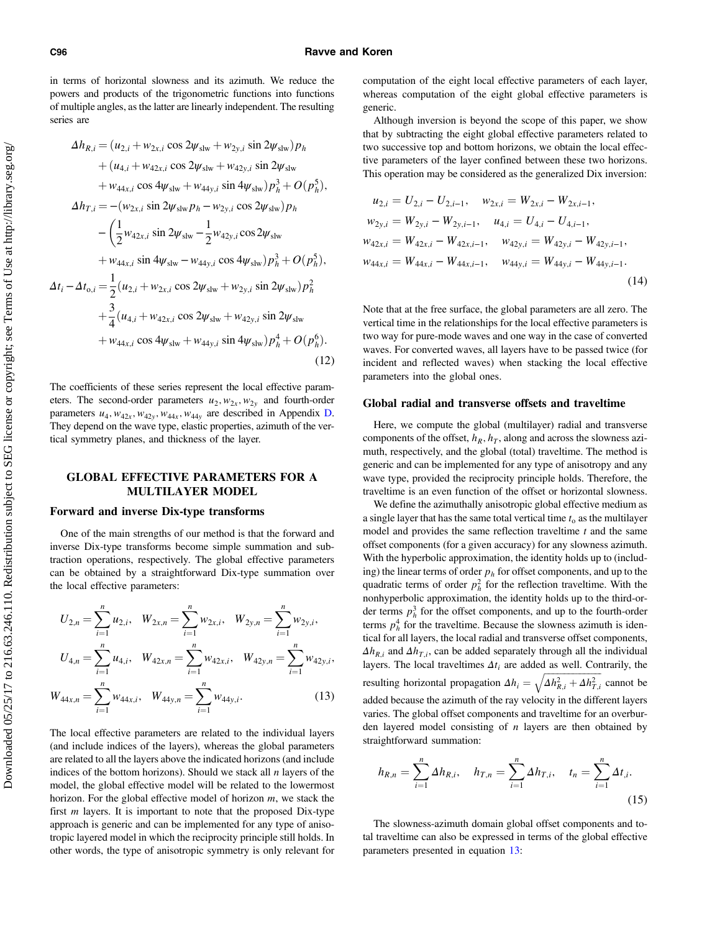<span id="page-5-0"></span>in terms of horizontal slowness and its azimuth. We reduce the powers and products of the trigonometric functions into functions of multiple angles, as the latter are linearly independent. The resulting series are

$$
\Delta h_{R,i} = (u_{2,i} + w_{2x,i} \cos 2\psi_{\text{slw}} + w_{2y,i} \sin 2\psi_{\text{slw}}) p_h \n+ (u_{4,i} + w_{42x,i} \cos 2\psi_{\text{slw}} + w_{42y,i} \sin 2\psi_{\text{slw}} \n+ w_{44x,i} \cos 4\psi_{\text{slw}} + w_{44y,i} \sin 4\psi_{\text{slw}}) p_h^3 + O(p_h^5), \n\Delta h_{T,i} = -(w_{2x,i} \sin 2\psi_{\text{slw}} p_h - w_{2y,i} \cos 2\psi_{\text{slw}}) p_h \n- \left( \frac{1}{2} w_{42x,i} \sin 2\psi_{\text{slw}} - \frac{1}{2} w_{42y,i} \cos 2\psi_{\text{slw}} \n+ w_{44x,i} \sin 4\psi_{\text{slw}} - w_{44y,i} \cos 4\psi_{\text{slw}}) p_h^3 + O(p_h^5), \n\Delta t_i - \Delta t_{0,i} = \frac{1}{2} (u_{2,i} + w_{2x,i} \cos 2\psi_{\text{slw}} + w_{2y,i} \sin 2\psi_{\text{slw}}) p_h^2 \n+ \frac{3}{4} (u_{4,i} + w_{42x,i} \cos 2\psi_{\text{slw}} + w_{42y,i} \sin 2\psi_{\text{slw}} \n+ w_{44x,i} \cos 4\psi_{\text{slw}} + w_{44y,i} \sin 4\psi_{\text{slw}}) p_h^4 + O(p_h^6).
$$
\n(12)

The coefficients of these series represent the local effective parameters. The second-order parameters  $u_2, w_{2x}, w_{2y}$  and fourth-order parameters  $u_4$ ,  $w_{42x}$ ,  $w_{42y}$ ,  $w_{44x}$ ,  $w_{44y}$  are described in Appendix [D.](#page-16-0) They depend on the wave type, elastic properties, azimuth of the vertical symmetry planes, and thickness of the layer.

# GLOBAL EFFECTIVE PARAMETERS FOR A MULTILAYER MODEL

## Forward and inverse Dix-type transforms

One of the main strengths of our method is that the forward and inverse Dix-type transforms become simple summation and subtraction operations, respectively. The global effective parameters can be obtained by a straightforward Dix-type summation over the local effective parameters:

$$
U_{2,n} = \sum_{i=1}^{n} u_{2,i}, \quad W_{2x,n} = \sum_{i=1}^{n} w_{2x,i}, \quad W_{2y,n} = \sum_{i=1}^{n} w_{2y,i},
$$

$$
U_{4,n} = \sum_{i=1}^{n} u_{4,i}, \quad W_{42x,n} = \sum_{i=1}^{n} w_{42x,i}, \quad W_{42y,n} = \sum_{i=1}^{n} w_{42y,i},
$$

$$
W_{44x,n} = \sum_{i=1}^{n} w_{44x,i}, \quad W_{44y,n} = \sum_{i=1}^{n} w_{44y,i}.
$$
(13)

The local effective parameters are related to the individual layers (and include indices of the layers), whereas the global parameters are related to all the layers above the indicated horizons (and include indices of the bottom horizons). Should we stack all  $n$  layers of the model, the global effective model will be related to the lowermost horizon. For the global effective model of horizon m, we stack the first  $m$  layers. It is important to note that the proposed Dix-type approach is generic and can be implemented for any type of anisotropic layered model in which the reciprocity principle still holds. In other words, the type of anisotropic symmetry is only relevant for computation of the eight local effective parameters of each layer, whereas computation of the eight global effective parameters is generic.

Although inversion is beyond the scope of this paper, we show that by subtracting the eight global effective parameters related to two successive top and bottom horizons, we obtain the local effective parameters of the layer confined between these two horizons. This operation may be considered as the generalized Dix inversion:

$$
u_{2,i} = U_{2,i} - U_{2,i-1}, \quad w_{2x,i} = W_{2x,i} - W_{2x,i-1},
$$
  
\n
$$
w_{2y,i} = W_{2y,i} - W_{2y,i-1}, \quad u_{4,i} = U_{4,i} - U_{4,i-1},
$$
  
\n
$$
w_{42x,i} = W_{42x,i} - W_{42x,i-1}, \quad w_{42y,i} = W_{42y,i} - W_{42y,i-1},
$$
  
\n
$$
w_{44x,i} = W_{44x,i} - W_{44x,i-1}, \quad w_{44y,i} = W_{44y,i} - W_{44y,i-1}.
$$
  
\n(14)

Note that at the free surface, the global parameters are all zero. The vertical time in the relationships for the local effective parameters is two way for pure-mode waves and one way in the case of converted waves. For converted waves, all layers have to be passed twice (for incident and reflected waves) when stacking the local effective parameters into the global ones.

#### Global radial and transverse offsets and traveltime

Here, we compute the global (multilayer) radial and transverse components of the offset,  $h_R$ ,  $h_T$ , along and across the slowness azimuth, respectively, and the global (total) traveltime. The method is generic and can be implemented for any type of anisotropy and any wave type, provided the reciprocity principle holds. Therefore, the traveltime is an even function of the offset or horizontal slowness.

We define the azimuthally anisotropic global effective medium as a single layer that has the same total vertical time  $t_0$  as the multilayer model and provides the same reflection traveltime  $t$  and the same offset components (for a given accuracy) for any slowness azimuth. With the hyperbolic approximation, the identity holds up to (including) the linear terms of order  $p<sub>h</sub>$  for offset components, and up to the quadratic terms of order  $p_h^2$  for the reflection traveltime. With the nonhyperbolic approximation, the identity holds up to the third-order terms  $p_h^3$  for the offset components, and up to the fourth-order terms  $p_h^4$  for the traveltime. Because the slowness azimuth is identical for all layers, the local radial and transverse offset components,  $\Delta h_{R,i}$  and  $\Delta h_{T,i}$ , can be added separately through all the individual layers. The local traveltimes  $\Delta t_i$  are added as well. Contrarily, the resulting horizontal propagation  $\Delta h_i = \sqrt{\Delta h_{R,i}^2 + \Delta h_{T,i}^2}$  cannot be added because the azimuth of the ray velocity in the different layers varies. The global offset components and traveltime for an overburden layered model consisting of  $n$  layers are then obtained by straightforward summation:

$$
h_{R,n} = \sum_{i=1}^{n} \Delta h_{R,i}, \quad h_{T,n} = \sum_{i=1}^{n} \Delta h_{T,i}, \quad t_n = \sum_{i=1}^{n} \Delta t_{i}.
$$
\n(15)

The slowness-azimuth domain global offset components and total traveltime can also be expressed in terms of the global effective parameters presented in equation 13: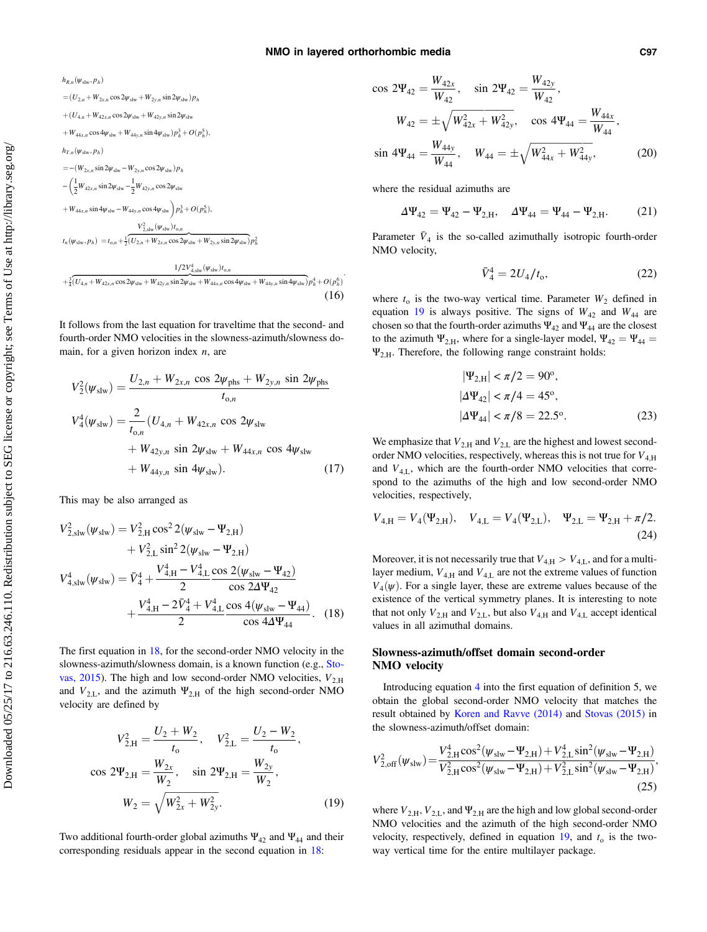(16)

 $h_{R,n}(\psi_{\mathrm{slw}},p_h)$  $=(U_{2,n}+W_{2x,n}\cos 2\psi_{\text{slw}}+W_{2y,n}\sin 2\psi_{\text{slw}})p_h$  $+(U_{4n} + W_{42x} \cdot n \cos 2\psi_{\text{slw}} + W_{42x} \cdot n \sin 2\psi_{\text{slw}})$  $+W_{44x,n}\cos 4\psi_{\text{slw}}+W_{44y,n}\sin 4\psi_{\text{slw}})p_h^3+O(p_h^5),$  $h_{T,n}(\psi_{\text{slw}},p_h)$  $=-(W_{2x,n}\sin 2\psi_{\text{slw}}-W_{2y,n}\cos 2\psi_{\text{slw}})p_h$  $-\left(\frac{1}{2}\right)$  $\frac{1}{2}W_{42x,n} \sin 2\psi_{\text{slw}} - \frac{1}{2}W_{42y,n} \cos 2\psi_{\text{slw}}$  $+ W_{44x,n} \sin 4\psi_{\rm slw} - W_{44y,n} \cos 4\psi_{\rm slw} \left( p_h^3 + O(p_h^5) \right)$  $V_{2,\text{slw}}^2(\psi_{\text{slw}})t_{\text{o},n}$  $t_n(\psi_{\text{slw}}, p_h) = t_{o,n} + \frac{1}{2}(\overline{U_{2,n} + W_{2x,n} \cos 2\psi_{\text{slw}} + W_{2y,n} \sin 2\psi_{\text{slw}}}) p_h^2$  $1/2V_{\rm 4, slw}^4(\psi_{\rm slw})t_{{\rm o},n}$  $+\frac{3}{4}(U_{4,n}+W_{42x,n}\cos2\psi_{\rm slw}+W_{42y,n}\sin2\psi_{\rm slw}+W_{44x,n}\cos4\psi_{\rm slw}+W_{44y,n}\sin4\psi_{\rm slw})\rho_{h}^{4}+O(\rho_{h}^{6})$ :

It follows from the last equation for traveltime that the second- and fourth-order NMO velocities in the slowness-azimuth/slowness domain, for a given horizon index  $n$ , are

$$
V_2^2(\psi_{\text{slw}}) = \frac{U_{2,n} + W_{2x,n} \cos 2\psi_{\text{phs}} + W_{2y,n} \sin 2\psi_{\text{phs}}}{t_{0,n}}
$$
  

$$
V_4^4(\psi_{\text{slw}}) = \frac{2}{t_{0,n}} (U_{4,n} + W_{42x,n} \cos 2\psi_{\text{slw}} + W_{42y,n} \sin 2\psi_{\text{slw}} + W_{44x,n} \cos 4\psi_{\text{slw}} + W_{44y,n} \sin 4\psi_{\text{slw}}).
$$
 (17)

This may be also arranged as

$$
V_{2,\text{slw}}^{2}(\psi_{\text{slw}}) = V_{2,\text{H}}^{2} \cos^{2} 2(\psi_{\text{slw}} - \Psi_{2,\text{H}}) + V_{2,\text{L}}^{2} \sin^{2} 2(\psi_{\text{slw}} - \Psi_{2,\text{H}}) V_{4,\text{slw}}^{4}(\psi_{\text{slw}}) = \bar{V}_{4}^{4} + \frac{V_{4,\text{H}}^{4} - V_{4,\text{L}}^{4} \cos 2(\psi_{\text{slw}} - \Psi_{42})}{2} + \frac{V_{4,\text{H}}^{4} - 2\bar{V}_{4}^{4} + V_{4,\text{L}}^{4} \cos 4(\psi_{\text{slw}} - \Psi_{44})}{2}.
$$
 (18)

The first equation in 18, for the second-order NMO velocity in the slowness-azimuth/slowness domain, is a known function (e.g., [Sto](#page-20-0)[vas, 2015\)](#page-20-0). The high and low second-order NMO velocities,  $V_{2,H}$ and  $V_{2,L}$ , and the azimuth  $\Psi_{2,H}$  of the high second-order NMO velocity are defined by

$$
V_{2,H}^{2} = \frac{U_{2} + W_{2}}{t_{o}}, \quad V_{2,L}^{2} = \frac{U_{2} - W_{2}}{t_{o}},
$$
  
\n
$$
\cos 2\Psi_{2,H} = \frac{W_{2x}}{W_{2}}, \quad \sin 2\Psi_{2,H} = \frac{W_{2y}}{W_{2}},
$$
  
\n
$$
W_{2} = \sqrt{W_{2x}^{2} + W_{2y}^{2}}.
$$
\n(19)

Two additional fourth-order global azimuths  $\Psi_{42}$  and  $\Psi_{44}$  and their corresponding residuals appear in the second equation in 18:

$$
\cos 2\Psi_{42} = \frac{W_{42x}}{W_{42}}, \quad \sin 2\Psi_{42} = \frac{W_{42y}}{W_{42}},
$$
\n
$$
W_{42} = \pm \sqrt{W_{42x}^2 + W_{42y}^2}, \quad \cos 4\Psi_{44} = \frac{W_{44x}}{W_{44}},
$$
\n
$$
\sin 4\Psi_{44} = \frac{W_{44y}}{W_{44}}, \quad W_{44} = \pm \sqrt{W_{44x}^2 + W_{44y}^2}, \quad (20)
$$

where the residual azimuths are

$$
\Delta \Psi_{42} = \Psi_{42} - \Psi_{2,H}, \quad \Delta \Psi_{44} = \Psi_{44} - \Psi_{2,H}.
$$
 (21)

Parameter  $\bar{V}_4$  is the so-called azimuthally isotropic fourth-order NMO velocity,

$$
\bar{V}_4^4 = 2U_4/t_0, \tag{22}
$$

where  $t_0$  is the two-way vertical time. Parameter  $W_2$  defined in equation 19 is always positive. The signs of  $W_{42}$  and  $W_{44}$  are chosen so that the fourth-order azimuths  $\Psi_{42}$  and  $\Psi_{44}$  are the closest to the azimuth  $\Psi_{2,H}$ , where for a single-layer model,  $\Psi_{42} = \Psi_{44} =$  $\Psi_{2,H}$ . Therefore, the following range constraint holds:

$$
|\Psi_{2,H}| < \pi/2 = 90^{\circ},
$$
  
\n
$$
|\Delta \Psi_{42}| < \pi/4 = 45^{\circ},
$$
  
\n
$$
|\Delta \Psi_{44}| < \pi/8 = 22.5^{\circ}.
$$
 (23)

We emphasize that  $V_{2,H}$  and  $V_{2,L}$  are the highest and lowest secondorder NMO velocities, respectively, whereas this is not true for  $V_{4,H}$ and  $V_{4,L}$ , which are the fourth-order NMO velocities that correspond to the azimuths of the high and low second-order NMO velocities, respectively,

$$
V_{4,H} = V_4(\Psi_{2,H}), \quad V_{4,L} = V_4(\Psi_{2,L}), \quad \Psi_{2,L} = \Psi_{2,H} + \pi/2.
$$
\n(24)

Moreover, it is not necessarily true that  $V_{4,H} > V_{4,L}$ , and for a multilayer medium,  $V_{4,H}$  and  $V_{4,L}$  are not the extreme values of function  $V_4(\psi)$ . For a single layer, these are extreme values because of the existence of the vertical symmetry planes. It is interesting to note that not only  $V_{2,H}$  and  $V_{2,L}$ , but also  $V_{4,H}$  and  $V_{4,L}$  accept identical values in all azimuthal domains.

# Slowness-azimuth/offset domain second-order NMO velocity

Introducing equation [4](#page-3-0) into the first equation of definition 5, we obtain the global second-order NMO velocity that matches the result obtained by [Koren and Ravve \(2014\)](#page-19-0) and [Stovas \(2015\)](#page-20-0) in the slowness-azimuth/offset domain:

$$
V_{2,off}^{2}(\psi_{\text{slw}}) = \frac{V_{2,H}^{4}\cos^{2}(\psi_{\text{slw}} - \Psi_{2,H}) + V_{2,L}^{4}\sin^{2}(\psi_{\text{slw}} - \Psi_{2,H})}{V_{2,H}^{2}\cos^{2}(\psi_{\text{slw}} - \Psi_{2,H}) + V_{2,L}^{2}\sin^{2}(\psi_{\text{slw}} - \Psi_{2,H})}
$$
\n(25)

where  $V_{2,H}$ ,  $V_{2,L}$ , and  $\Psi_{2,H}$  are the high and low global second-order NMO velocities and the azimuth of the high second-order NMO velocity, respectively, defined in equation 19, and  $t_0$  is the twoway vertical time for the entire multilayer package.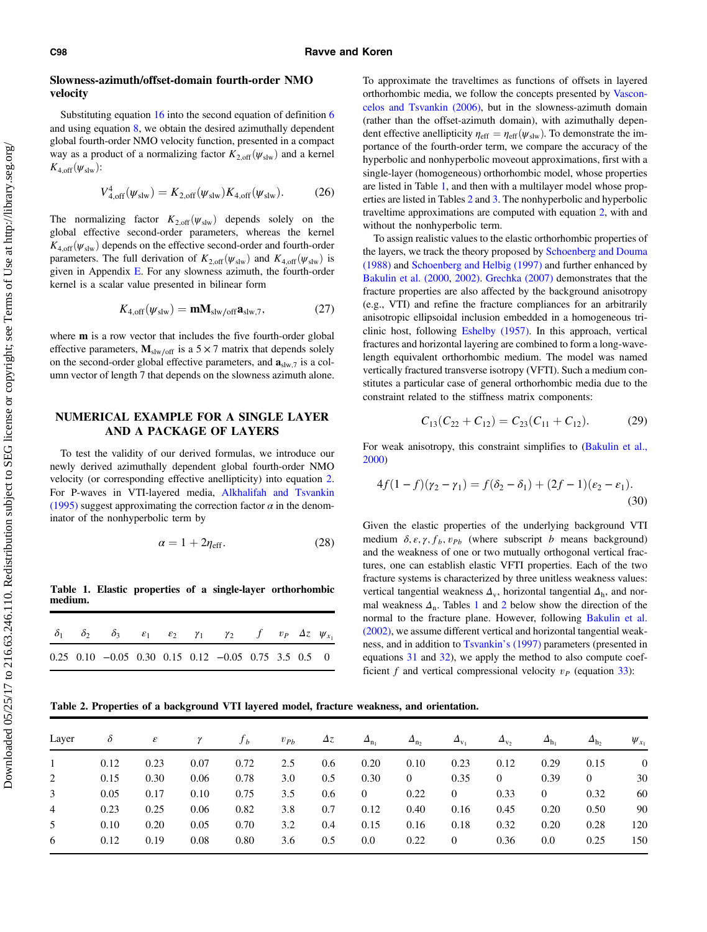# <span id="page-7-0"></span>Slowness-azimuth/offset-domain fourth-order NMO velocity

Substituting equation [16](#page-5-0) into the second equation of definition [6](#page-3-0) and using equation [8,](#page-4-0) we obtain the desired azimuthally dependent global fourth-order NMO velocity function, presented in a compact way as a product of a normalizing factor  $K_{2,\text{off}}(\psi_{\text{slw}})$  and a kernel  $K_{4,\text{off}}(\psi_{\text{slw}})$ :

$$
V_{4,\text{off}}^4(\psi_{\text{slw}}) = K_{2,\text{off}}(\psi_{\text{slw}}) K_{4,\text{off}}(\psi_{\text{slw}}). \tag{26}
$$

The normalizing factor  $K_{2,\text{off}}(\psi_{\text{slw}})$  depends solely on the global effective second-order parameters, whereas the kernel  $K_{4,\text{off}}(\psi_{\text{slw}})$  depends on the effective second-order and fourth-order parameters. The full derivation of  $K_{2,\text{off}}(\psi_{\text{slw}})$  and  $K_{4,\text{off}}(\psi_{\text{slw}})$  is given in Appendix [E](#page-17-0). For any slowness azimuth, the fourth-order kernel is a scalar value presented in bilinear form

$$
K_{4,\text{off}}(\psi_{\text{slw}}) = \mathbf{m} \mathbf{M}_{\text{slw/off}} \mathbf{a}_{\text{slw},7},\tag{27}
$$

where **m** is a row vector that includes the five fourth-order global effective parameters,  $M_{\text{slw/off}}$  is a 5 × 7 matrix that depends solely on the second-order global effective parameters, and  $\mathbf{a}_{\text{slw},7}$  is a column vector of length 7 that depends on the slowness azimuth alone.

# NUMERICAL EXAMPLE FOR A SINGLE LAYER AND A PACKAGE OF LAYERS

To test the validity of our derived formulas, we introduce our newly derived azimuthally dependent global fourth-order NMO velocity (or corresponding effective anellipticity) into equation [2.](#page-3-0) For P-waves in VTI-layered media, [Alkhalifah and Tsvankin](#page-19-0) [\(1995\)](#page-19-0) suggest approximating the correction factor  $\alpha$  in the denominator of the nonhyperbolic term by

$$
\alpha = 1 + 2\eta_{\rm eff}.\tag{28}
$$

Table 1. Elastic properties of a single-layer orthorhombic medium.

|  | $\delta_1$ $\delta_2$ $\delta_3$ $\varepsilon_1$ $\varepsilon_2$ $\gamma_1$ $\gamma_2$ $f$ $v_P$ $\Delta z$ $\psi_{x_1}$ |  |  |  |  |
|--|--------------------------------------------------------------------------------------------------------------------------|--|--|--|--|
|  | $0.25$ $0.10$ $-0.05$ $0.30$ $0.15$ $0.12$ $-0.05$ $0.75$ $3.5$ $0.5$ 0                                                  |  |  |  |  |

To approximate the traveltimes as functions of offsets in layered orthorhombic media, we follow the concepts presented by [Vascon](#page-20-0)[celos and Tsvankin \(2006\),](#page-20-0) but in the slowness-azimuth domain (rather than the offset-azimuth domain), with azimuthally dependent effective anellipticity  $\eta_{\text{eff}} = \eta_{\text{eff}}(\psi_{\text{slw}})$ . To demonstrate the importance of the fourth-order term, we compare the accuracy of the hyperbolic and nonhyperbolic moveout approximations, first with a single-layer (homogeneous) orthorhombic model, whose properties are listed in Table 1, and then with a multilayer model whose properties are listed in Tables 2 and [3](#page-8-0). The nonhyperbolic and hyperbolic traveltime approximations are computed with equation [2,](#page-3-0) with and without the nonhyperbolic term.

To assign realistic values to the elastic orthorhombic properties of the layers, we track the theory proposed by [Schoenberg and Douma](#page-20-0) [\(1988\)](#page-20-0) and [Schoenberg and Helbig \(1997\)](#page-20-0) and further enhanced by [Bakulin et al. \(2000](#page-19-0), [2002\)](#page-19-0). [Grechka \(2007\)](#page-19-0) demonstrates that the fracture properties are also affected by the background anisotropy (e.g., VTI) and refine the fracture compliances for an arbitrarily anisotropic ellipsoidal inclusion embedded in a homogeneous triclinic host, following [Eshelby \(1957\)](#page-19-0). In this approach, vertical fractures and horizontal layering are combined to form a long-wavelength equivalent orthorhombic medium. The model was named vertically fractured transverse isotropy (VFTI). Such a medium constitutes a particular case of general orthorhombic media due to the constraint related to the stiffness matrix components:

$$
C_{13}(C_{22} + C_{12}) = C_{23}(C_{11} + C_{12}).
$$
 (29)

For weak anisotropy, this constraint simplifies to ([Bakulin et al.,](#page-19-0) [2000\)](#page-19-0)

$$
4f(1-f)(\gamma_2 - \gamma_1) = f(\delta_2 - \delta_1) + (2f - 1)(\epsilon_2 - \epsilon_1).
$$
\n(30)

Given the elastic properties of the underlying background VTI medium  $\delta$ ,  $\varepsilon$ ,  $\gamma$ ,  $f_b$ ,  $v_{Pb}$  (where subscript b means background) and the weakness of one or two mutually orthogonal vertical fractures, one can establish elastic VFTI properties. Each of the two fracture systems is characterized by three unitless weakness values: vertical tangential weakness  $\Delta_{v}$ , horizontal tangential  $\Delta_{h}$ , and normal weakness  $\Delta_n$ . Tables 1 and 2 below show the direction of the normal to the fracture plane. However, following [Bakulin et al.](#page-19-0) [\(2002\),](#page-19-0) we assume different vertical and horizontal tangential weakness, and in addition to [Tsvankin](#page-20-0)'s (1997) parameters (presented in equations 31 and [32](#page-8-0)), we apply the method to also compute coefficient f and vertical compressional velocity  $v_P$  (equation [33](#page-8-0)):

Table 2. Properties of a background VTI layered model, fracture weakness, and orientation.

| Layer          | ŏ    | $\pmb{\varepsilon}$ | γ    | $f_h$ | $v_{Pb}$ | $\Delta z$ | $\Delta_{n_1}$ | $\Delta_{n_2}$ | $\Delta_{\rm v}$ | $\Delta_{\rm v}$ | $\Delta_{\rm h}$ | $\Delta_{h_2}$ | $\psi_{x_1}$ |
|----------------|------|---------------------|------|-------|----------|------------|----------------|----------------|------------------|------------------|------------------|----------------|--------------|
|                | 0.12 | 0.23                | 0.07 | 0.72  | 2.5      | 0.6        | 0.20           | 0.10           | 0.23             | 0.12             | 0.29             | 0.15           | $\theta$     |
| 2              | 0.15 | 0.30                | 0.06 | 0.78  | 3.0      | 0.5        | 0.30           | $\mathbf{0}$   | 0.35             | $\overline{0}$   | 0.39             | $\overline{0}$ | 30           |
| 3              | 0.05 | 0.17                | 0.10 | 0.75  | 3.5      | 0.6        | $\theta$       | 0.22           | $\overline{0}$   | 0.33             | $\theta$         | 0.32           | 60           |
| $\overline{4}$ | 0.23 | 0.25                | 0.06 | 0.82  | 3.8      | 0.7        | 0.12           | 0.40           | 0.16             | 0.45             | 0.20             | 0.50           | 90           |
| 5              | 0.10 | 0.20                | 0.05 | 0.70  | 3.2      | 0.4        | 0.15           | 0.16           | 0.18             | 0.32             | 0.20             | 0.28           | 120          |
| 6              | 0.12 | 0.19                | 0.08 | 0.80  | 3.6      | 0.5        | 0.0            | 0.22           | $\boldsymbol{0}$ | 0.36             | 0.0              | 0.25           | 150          |
|                |      |                     |      |       |          |            |                |                |                  |                  |                  |                |              |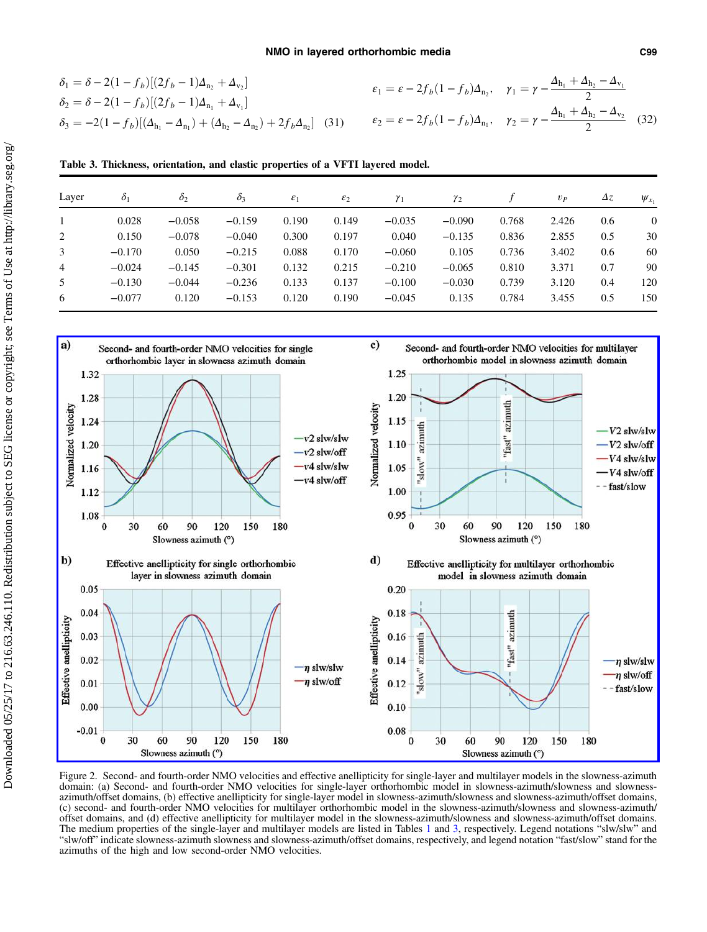<span id="page-8-0"></span>
$$
\delta_1 = \delta - 2(1 - f_b)[(2f_b - 1)\Delta_{n_2} + \Delta_{v_2}]
$$
\n
$$
\delta_2 = \delta - 2(1 - f_b)[(2f_b - 1)\Delta_{n_1} + \Delta_{v_1}]
$$
\n
$$
\delta_3 = -2(1 - f_b)[(\Delta_{h_1} - \Delta_{n_1}) + (\Delta_{h_2} - \Delta_{n_2}) + 2f_b\Delta_{n_2}]
$$
\n(31)\n
$$
\delta_4 = \varepsilon - 2f_b(1 - f_b)\Delta_{n_1}, \quad \gamma_1 = \gamma - \frac{\Delta_{h_1} + \Delta_{h_2} - \Delta_{v_1}}{2}
$$
\n(32)

Table 3. Thickness, orientation, and elastic properties of a VFTI layered model.

|          | $\delta_2$ | $\delta_3$ | $\varepsilon_1$ | $\varepsilon_2$ | $\gamma_1$ | $\gamma_2$ |       | $v_{P}$ | $\Delta z$ | $\psi_{x_1}$ |
|----------|------------|------------|-----------------|-----------------|------------|------------|-------|---------|------------|--------------|
| 0.028    | $-0.058$   | $-0.159$   | 0.190           | 0.149           | $-0.035$   | $-0.090$   | 0.768 | 2.426   | 0.6        | $\theta$     |
| 0.150    | $-0.078$   | $-0.040$   | 0.300           | 0.197           | 0.040      | $-0.135$   | 0.836 | 2.855   | 0.5        | 30           |
| $-0.170$ | 0.050      | $-0.215$   | 0.088           | 0.170           | $-0.060$   | 0.105      | 0.736 | 3.402   | 0.6        | 60           |
| $-0.024$ | $-0.145$   | $-0.301$   | 0.132           | 0.215           | $-0.210$   | $-0.065$   | 0.810 | 3.371   | 0.7        | 90           |
| $-0.130$ | $-0.044$   | $-0.236$   | 0.133           | 0.137           | $-0.100$   | $-0.030$   | 0.739 | 3.120   | 0.4        | 120          |
| $-0.077$ | 0.120      | $-0.153$   | 0.120           | 0.190           | $-0.045$   | 0.135      | 0.784 | 3.455   | 0.5        | 150          |
|          | $\delta_1$ |            |                 |                 |            |            |       |         |            |              |



Figure 2. Second- and fourth-order NMO velocities and effective anellipticity for single-layer and multilayer models in the slowness-azimuth domain: (a) Second- and fourth-order NMO velocities for single-layer orthorhombic model in slowness-azimuth/slowness and slownessazimuth/offset domains, (b) effective anellipticity for single-layer model in slowness-azimuth/slowness and slowness-azimuth/offset domains, (c) second- and fourth-order NMO velocities for multilayer orthorhombic model in offset domains, and (d) effective anellipticity for multilayer model in the slowness-azimuth/slowness and slowness-azimuth/offset domains. The medium properties of the single-layer and multilayer models are listed in Tables [1](#page-7-0) and 3, respectively. Legend notations "slw/slw" and "slw/off" indicate slowness-azimuth slowness and slowness-azimuth/offset domains, r azimuths of the high and low second-order NMO velocities.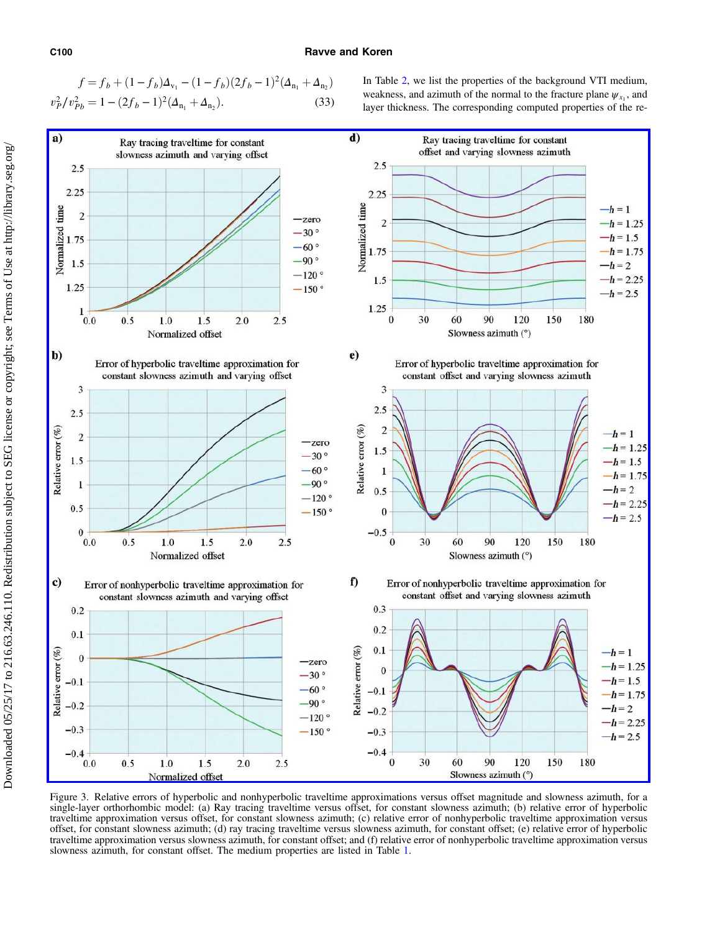## <span id="page-9-0"></span>C100 Ravve and Koren

$$
f = f_b + (1 - f_b)\Delta_{v_1} - (1 - f_b)(2f_b - 1)^2(\Delta_{n_1} + \Delta_{n_2})
$$
  

$$
v_p^2/v_{Pb}^2 = 1 - (2f_b - 1)^2(\Delta_{n_1} + \Delta_{n_2}).
$$
 (33)

In Table [2](#page-7-0), we list the properties of the background VTI medium, weakness, and azimuth of the normal to the fracture plane  $\psi_{x_1}$ , and layer thickness. The corresponding computed properties of the re-



Figure 3. Relative errors of hyperbolic and nonhyperbolic traveltime approximations versus offset magnitude and slowness azimuth, for a single-layer orthorhombic model: (a) Ray tracing traveltime versus offset, for constant slowness azimuth; (b) relative error of hyperbolic traveltime approximation versus offset, for constant slowness azimuth; (c) relative error of nonhyperbolic traveltime approximation versus offset, for constant slowness azimuth; (d) ray tracing traveltime versus slowness azimuth, for constant offset; (e) relative error of hyperbolic traveltime approximation versus slowness azimuth, for constant offset; and (f) relative error of nonhyperbolic traveltime approximation versus slowness azimuth, for constant offset. The medium properties are listed in Table [1](#page-7-0).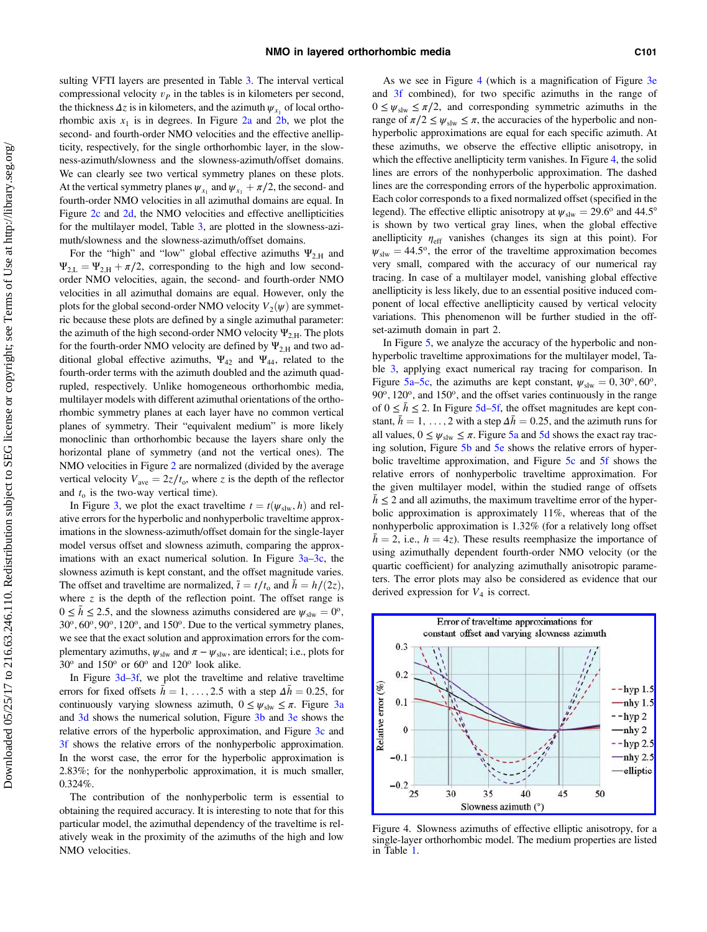sulting VFTI layers are presented in Table [3](#page-8-0). The interval vertical compressional velocity  $v<sub>P</sub>$  in the tables is in kilometers per second, the thickness  $\Delta z$  is in kilometers, and the azimuth  $\psi_{x_1}$  of local orthorhombic axis  $x_1$  is in degrees. In Figure [2a](#page-8-0) and [2b,](#page-8-0) we plot the second- and fourth-order NMO velocities and the effective anellipticity, respectively, for the single orthorhombic layer, in the slowness-azimuth/slowness and the slowness-azimuth/offset domains. We can clearly see two vertical symmetry planes on these plots. At the vertical symmetry planes  $\psi_{x_1}$  and  $\psi_{x_1} + \pi/2$ , the second- and fourth-order NMO velocities in all azimuthal domains are equal. In Figure [2c](#page-8-0) and [2d](#page-8-0), the NMO velocities and effective anellipticities for the multilayer model, Table [3,](#page-8-0) are plotted in the slowness-azimuth/slowness and the slowness-azimuth/offset domains.

For the "high" and "low" global effective azimuths  $\Psi_{2,H}$  and  $\Psi_{2,L} = \Psi_{2,H} + \pi/2$ , corresponding to the high and low secondorder NMO velocities, again, the second- and fourth-order NMO velocities in all azimuthal domains are equal. However, only the plots for the global second-order NMO velocity  $V_2(\psi)$  are symmetric because these plots are defined by a single azimuthal parameter: the azimuth of the high second-order NMO velocity  $\Psi_{2,H}$ . The plots for the fourth-order NMO velocity are defined by  $\Psi_{2,H}$  and two additional global effective azimuths,  $\Psi_{42}$  and  $\Psi_{44}$ , related to the fourth-order terms with the azimuth doubled and the azimuth quadrupled, respectively. Unlike homogeneous orthorhombic media, multilayer models with different azimuthal orientations of the orthorhombic symmetry planes at each layer have no common vertical planes of symmetry. Their "equivalent medium" is more likely monoclinic than orthorhombic because the layers share only the horizontal plane of symmetry (and not the vertical ones). The NMO velocities in Figure [2](#page-8-0) are normalized (divided by the average vertical velocity  $V_{\text{ave}} = 2z/t_0$ , where z is the depth of the reflector and  $t_0$  is the two-way vertical time).

In Figure [3,](#page-9-0) we plot the exact traveltime  $t = t(\psi_{\text{slw}}, h)$  and relative errors for the hyperbolic and nonhyperbolic traveltime approximations in the slowness-azimuth/offset domain for the single-layer model versus offset and slowness azimuth, comparing the approximations with an exact numerical solution. In Figure  $3a-3c$  $3a-3c$  $3a-3c$ , the slowness azimuth is kept constant, and the offset magnitude varies. The offset and traveltime are normalized,  $\bar{t} = t/t_0$  and  $\bar{h} = h/(2z)$ , where  $z$  is the depth of the reflection point. The offset range is  $0 \leq \bar{h} \leq 2.5$ , and the slowness azimuths considered are  $\psi_{\text{slw}} = 0^{\circ}$ ,  $30^{\circ}$ ,  $60^{\circ}$ ,  $90^{\circ}$ ,  $120^{\circ}$ , and  $150^{\circ}$ . Due to the vertical symmetry planes, we see that the exact solution and approximation errors for the complementary azimuths,  $\psi_{\text{slw}}$  and  $\pi - \psi_{\text{slw}}$ , are identical; i.e., plots for  $30^{\circ}$  and  $150^{\circ}$  or  $60^{\circ}$  and  $120^{\circ}$  look alike.

In Figure [3d](#page-9-0)–[3f](#page-9-0), we plot the traveltime and relative traveltime errors for fixed offsets  $\bar{h} = 1, \ldots, 2.5$  with a step  $\Delta \bar{h} = 0.25$ , for continuously varying slowness azimuth,  $0 \leq \psi_{\text{slw}} \leq \pi$ . Figure [3a](#page-9-0) and [3d](#page-9-0) shows the numerical solution, Figure [3b](#page-9-0) and [3e](#page-9-0) shows the relative errors of the hyperbolic approximation, and Figure [3c](#page-9-0) and [3f](#page-9-0) shows the relative errors of the nonhyperbolic approximation. In the worst case, the error for the hyperbolic approximation is 2.83%; for the nonhyperbolic approximation, it is much smaller, 0.324%.

The contribution of the nonhyperbolic term is essential to obtaining the required accuracy. It is interesting to note that for this particular model, the azimuthal dependency of the traveltime is relatively weak in the proximity of the azimuths of the high and low NMO velocities.

As we see in Figure 4 (which is a magnification of Figure [3e](#page-9-0) and [3f](#page-9-0) combined), for two specific azimuths in the range of  $0 \leq \psi_{\text{slw}} \leq \pi/2$ , and corresponding symmetric azimuths in the range of  $\pi/2 \leq \psi_{\text{slw}} \leq \pi$ , the accuracies of the hyperbolic and nonhyperbolic approximations are equal for each specific azimuth. At these azimuths, we observe the effective elliptic anisotropy, in which the effective anellipticity term vanishes. In Figure 4, the solid lines are errors of the nonhyperbolic approximation. The dashed lines are the corresponding errors of the hyperbolic approximation. Each color corresponds to a fixed normalized offset (specified in the legend). The effective elliptic anisotropy at  $\psi_{\text{slw}} = 29.6^{\circ}$  and 44.5° is shown by two vertical gray lines, when the global effective anellipticity  $\eta_{\text{eff}}$  vanishes (changes its sign at this point). For  $\psi_{\text{slw}} = 44.5^{\circ}$ , the error of the traveltime approximation becomes very small, compared with the accuracy of our numerical ray tracing. In case of a multilayer model, vanishing global effective anellipticity is less likely, due to an essential positive induced component of local effective anellipticity caused by vertical velocity variations. This phenomenon will be further studied in the offset-azimuth domain in part 2.

In Figure [5,](#page-11-0) we analyze the accuracy of the hyperbolic and nonhyperbolic traveltime approximations for the multilayer model, Table [3,](#page-8-0) applying exact numerical ray tracing for comparison. In Figure [5a](#page-11-0)–[5c,](#page-11-0) the azimuths are kept constant,  $\psi_{\text{slw}} = 0, 30^{\circ}, 60^{\circ}$ , 90°, 120°, and 150°, and the offset varies continuously in the range of  $0 \leq \bar{h} \leq 2$ . In Figure [5d](#page-11-0)–[5f](#page-11-0), the offset magnitudes are kept constant,  $h = 1, \ldots, 2$  with a step  $\Delta h = 0.25$ , and the azimuth runs for all values,  $0 \leq \psi_{\text{slw}} \leq \pi$ . Figure [5a](#page-11-0) and [5d](#page-11-0) shows the exact ray tracing solution, Figure [5b](#page-11-0) and [5e](#page-11-0) shows the relative errors of hyperbolic traveltime approximation, and Figure [5c](#page-11-0) and [5f](#page-11-0) shows the relative errors of nonhyperbolic traveltime approximation. For the given multilayer model, within the studied range of offsets  $h \leq 2$  and all azimuths, the maximum traveltime error of the hyperbolic approximation is approximately 11%, whereas that of the nonhyperbolic approximation is 1.32% (for a relatively long offset  $\bar{h} = 2$ , i.e.,  $h = 4z$ ). These results reemphasize the importance of using azimuthally dependent fourth-order NMO velocity (or the quartic coefficient) for analyzing azimuthally anisotropic parameters. The error plots may also be considered as evidence that our derived expression for  $V_4$  is correct.



Figure 4. Slowness azimuths of effective elliptic anisotropy, for a single-layer orthorhombic model. The medium properties are listed in Table [1](#page-7-0).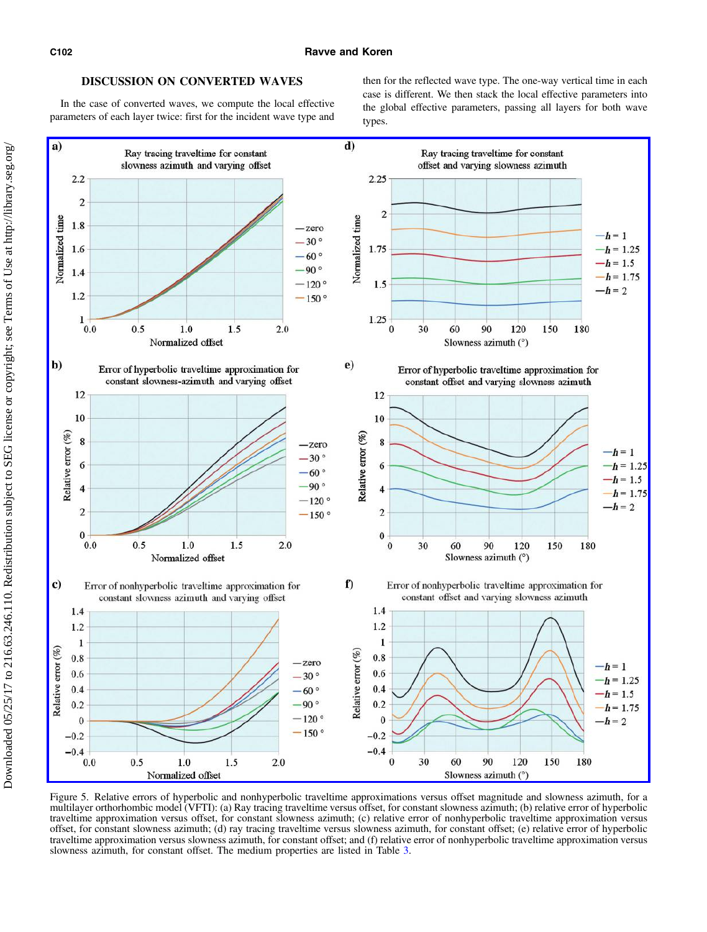# DISCUSSION ON CONVERTED WAVES

<span id="page-11-0"></span>In the case of converted waves, we compute the local effective parameters of each layer twice: first for the incident wave type and then for the reflected wave type. The one-way vertical time in each case is different. We then stack the local effective parameters into the global effective parameters, passing all layers for both wave types.



Figure 5. Relative errors of hyperbolic and nonhyperbolic traveltime approximations versus offset magnitude and slowness azimuth, for a multilayer orthorhombic model (VFTI): (a) Ray tracing traveltime versus offset, for constant slowness azimuth; (b) relative error of hyperbolic traveltime approximation versus offset, for constant slowness azimuth; (c) relative error of nonhyperbolic traveltime approximation versus offset, for constant slowness azimuth; (d) ray tracing traveltime versus slowness azimuth, for constant offset; (e) relative error of hyperbolic traveltime approximation versus slowness azimuth, for constant offset; and (f) relative error of nonhyperbolic traveltime approximation versus slowness azimuth, for constant offset. The medium properties are listed in Table [3](#page-8-0).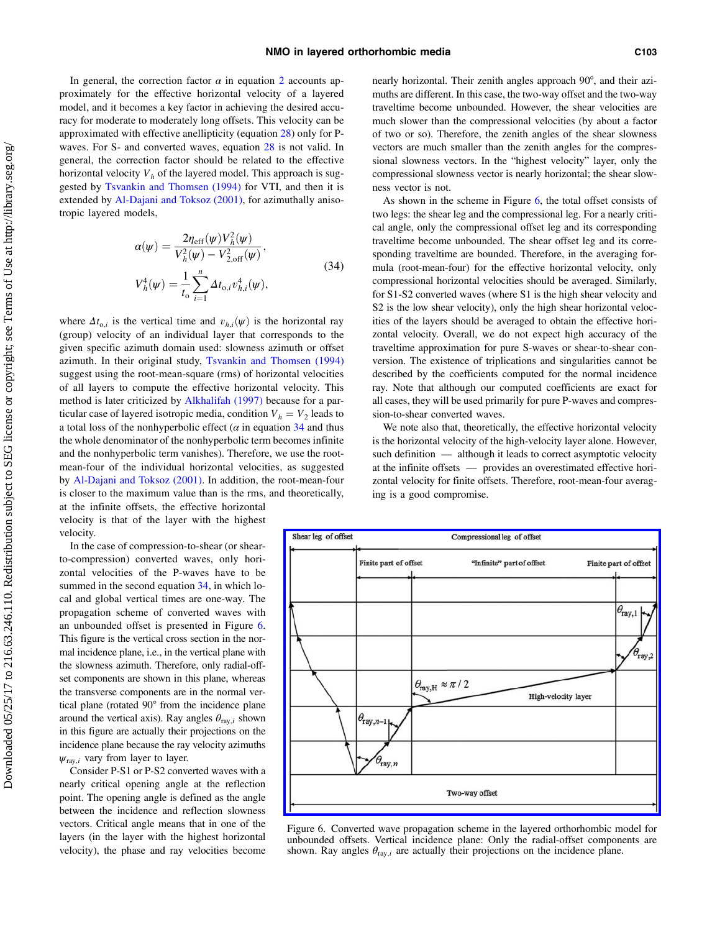<span id="page-12-0"></span>In general, the correction factor  $\alpha$  in equation [2](#page-3-0) accounts approximately for the effective horizontal velocity of a layered model, and it becomes a key factor in achieving the desired accuracy for moderate to moderately long offsets. This velocity can be approximated with effective anellipticity (equation [28\)](#page-7-0) only for Pwaves. For S- and converted waves, equation [28](#page-7-0) is not valid. In general, the correction factor should be related to the effective horizontal velocity  $V<sub>h</sub>$  of the layered model. This approach is suggested by [Tsvankin and Thomsen \(1994\)](#page-20-0) for VTI, and then it is extended by [Al-Dajani and Toksoz \(2001\),](#page-19-0) for azimuthally anisotropic layered models,

$$
\alpha(\psi) = \frac{2\eta_{\text{eff}}(\psi)V_h^2(\psi)}{V_h^2(\psi) - V_{2,\text{off}}^2(\psi)},
$$
  

$$
V_h^4(\psi) = \frac{1}{t_0} \sum_{i=1}^n \Delta t_{0,i} v_{h,i}^4(\psi),
$$
 (34)

where  $\Delta t_{0,i}$  is the vertical time and  $v_{h,i}(\psi)$  is the horizontal ray (group) velocity of an individual layer that corresponds to the given specific azimuth domain used: slowness azimuth or offset azimuth. In their original study, [Tsvankin and Thomsen \(1994\)](#page-20-0) suggest using the root-mean-square (rms) of horizontal velocities of all layers to compute the effective horizontal velocity. This method is later criticized by [Alkhalifah \(1997\)](#page-19-0) because for a particular case of layered isotropic media, condition  $V_h = V_2$  leads to a total loss of the nonhyperbolic effect ( $\alpha$  in equation 34 and thus the whole denominator of the nonhyperbolic term becomes infinite and the nonhyperbolic term vanishes). Therefore, we use the rootmean-four of the individual horizontal velocities, as suggested by [Al-Dajani and Toksoz \(2001\).](#page-19-0) In addition, the root-mean-four is closer to the maximum value than is the rms, and theoretically, at the infinite offsets, the effective horizontal

velocity is that of the layer with the highest velocity.

In the case of compression-to-shear (or shearto-compression) converted waves, only horizontal velocities of the P-waves have to be summed in the second equation 34, in which local and global vertical times are one-way. The propagation scheme of converted waves with an unbounded offset is presented in Figure 6. This figure is the vertical cross section in the normal incidence plane, i.e., in the vertical plane with the slowness azimuth. Therefore, only radial-offset components are shown in this plane, whereas the transverse components are in the normal vertical plane (rotated 90° from the incidence plane around the vertical axis). Ray angles  $\theta_{\text{rav},i}$  shown in this figure are actually their projections on the incidence plane because the ray velocity azimuths  $\psi_{\text{ray},i}$  vary from layer to layer.

Consider P-S1 or P-S2 converted waves with a nearly critical opening angle at the reflection point. The opening angle is defined as the angle between the incidence and reflection slowness vectors. Critical angle means that in one of the layers (in the layer with the highest horizontal velocity), the phase and ray velocities become nearly horizontal. Their zenith angles approach 90°, and their azimuths are different. In this case, the two-way offset and the two-way traveltime become unbounded. However, the shear velocities are much slower than the compressional velocities (by about a factor of two or so). Therefore, the zenith angles of the shear slowness vectors are much smaller than the zenith angles for the compressional slowness vectors. In the "highest velocity" layer, only the compressional slowness vector is nearly horizontal; the shear slowness vector is not.

As shown in the scheme in Figure  $6$ , the total offset consists of two legs: the shear leg and the compressional leg. For a nearly critical angle, only the compressional offset leg and its corresponding traveltime become unbounded. The shear offset leg and its corresponding traveltime are bounded. Therefore, in the averaging formula (root-mean-four) for the effective horizontal velocity, only compressional horizontal velocities should be averaged. Similarly, for S1-S2 converted waves (where S1 is the high shear velocity and S2 is the low shear velocity), only the high shear horizontal velocities of the layers should be averaged to obtain the effective horizontal velocity. Overall, we do not expect high accuracy of the traveltime approximation for pure S-waves or shear-to-shear conversion. The existence of triplications and singularities cannot be described by the coefficients computed for the normal incidence ray. Note that although our computed coefficients are exact for all cases, they will be used primarily for pure P-waves and compression-to-shear converted waves.

We note also that, theoretically, the effective horizontal velocity is the horizontal velocity of the high-velocity layer alone. However, such definition  $-$  although it leads to correct asymptotic velocity at the infinite offsets — provides an overestimated effective horizontal velocity for finite offsets. Therefore, root-mean-four averaging is a good compromise.



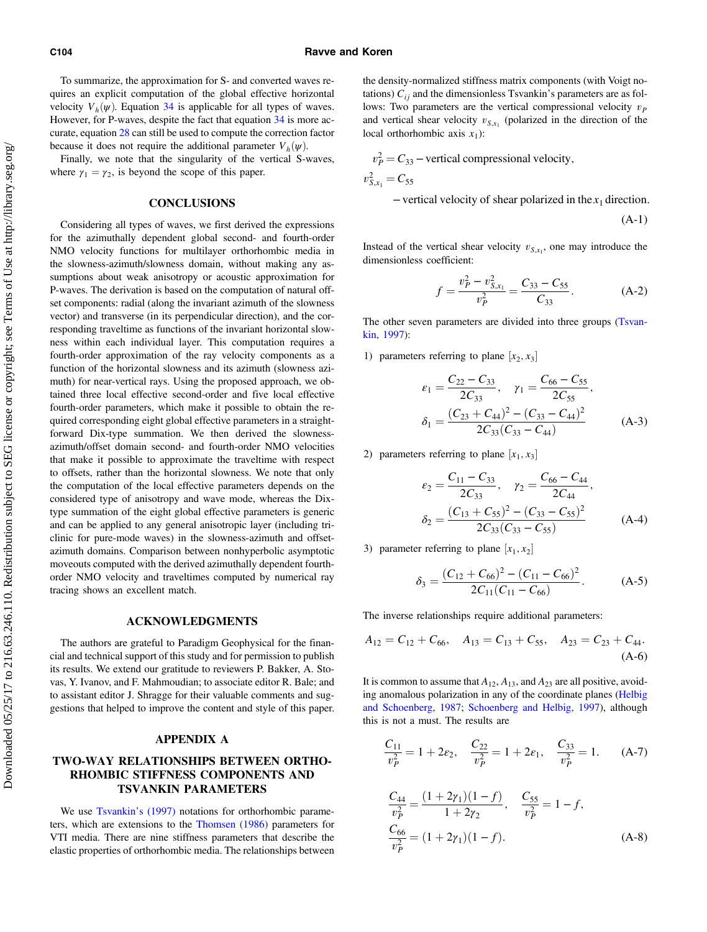<span id="page-13-0"></span>To summarize, the approximation for S- and converted waves requires an explicit computation of the global effective horizontal velocity  $V_h(\psi)$ . Equation [34](#page-12-0) is applicable for all types of waves. However, for P-waves, despite the fact that equation [34](#page-12-0) is more accurate, equation [28](#page-7-0) can still be used to compute the correction factor because it does not require the additional parameter  $V_h(\psi)$ .

Finally, we note that the singularity of the vertical S-waves, where  $\gamma_1 = \gamma_2$ , is beyond the scope of this paper.

# **CONCLUSIONS**

Considering all types of waves, we first derived the expressions for the azimuthally dependent global second- and fourth-order NMO velocity functions for multilayer orthorhombic media in the slowness-azimuth/slowness domain, without making any assumptions about weak anisotropy or acoustic approximation for P-waves. The derivation is based on the computation of natural offset components: radial (along the invariant azimuth of the slowness vector) and transverse (in its perpendicular direction), and the corresponding traveltime as functions of the invariant horizontal slowness within each individual layer. This computation requires a fourth-order approximation of the ray velocity components as a function of the horizontal slowness and its azimuth (slowness azimuth) for near-vertical rays. Using the proposed approach, we obtained three local effective second-order and five local effective fourth-order parameters, which make it possible to obtain the required corresponding eight global effective parameters in a straightforward Dix-type summation. We then derived the slownessazimuth/offset domain second- and fourth-order NMO velocities that make it possible to approximate the traveltime with respect to offsets, rather than the horizontal slowness. We note that only the computation of the local effective parameters depends on the considered type of anisotropy and wave mode, whereas the Dixtype summation of the eight global effective parameters is generic and can be applied to any general anisotropic layer (including triclinic for pure-mode waves) in the slowness-azimuth and offsetazimuth domains. Comparison between nonhyperbolic asymptotic moveouts computed with the derived azimuthally dependent fourthorder NMO velocity and traveltimes computed by numerical ray tracing shows an excellent match.

# ACKNOWLEDGMENTS

The authors are grateful to Paradigm Geophysical for the financial and technical support of this study and for permission to publish its results. We extend our gratitude to reviewers P. Bakker, A. Stovas, Y. Ivanov, and F. Mahmoudian; to associate editor R. Bale; and to assistant editor J. Shragge for their valuable comments and suggestions that helped to improve the content and style of this paper.

# APPENDIX A

# TWO-WAY RELATIONSHIPS BETWEEN ORTHO-RHOMBIC STIFFNESS COMPONENTS AND TSVANKIN PARAMETERS

We use [Tsvankin](#page-20-0)'s (1997) notations for orthorhombic parameters, which are extensions to the [Thomsen \(1986\)](#page-20-0) parameters for VTI media. There are nine stiffness parameters that describe the elastic properties of orthorhombic media. The relationships between the density-normalized stiffness matrix components (with Voigt notations)  $C_{ii}$  and the dimensionless Tsvankin's parameters are as follows: Two parameters are the vertical compressional velocity  $v<sub>P</sub>$ and vertical shear velocity  $v_{S,x_1}$  (polarized in the direction of the local orthorhombic axis  $x_1$ ):

$$
v_P^2 = C_{33}
$$
 – vertical compressional velocity,

$$
v_{S,x_1}^2 = C_{55}
$$

 $-$ vertical velocity of shear polarized in the  $x_1$  direction.

$$
(A-1)
$$

Instead of the vertical shear velocity  $v_{S,x_1}$ , one may introduce the dimensionless coefficient:

$$
f = \frac{v_P^2 - v_{S,x_1}^2}{v_P^2} = \frac{C_{33} - C_{55}}{C_{33}}.
$$
 (A-2)

The other seven parameters are divided into three groups ([Tsvan](#page-20-0)[kin, 1997\)](#page-20-0):

1) parameters referring to plane  $[x_2, x_3]$ 

$$
\varepsilon_1 = \frac{C_{22} - C_{33}}{2C_{33}}, \quad \gamma_1 = \frac{C_{66} - C_{55}}{2C_{55}},
$$

$$
\delta_1 = \frac{(C_{23} + C_{44})^2 - (C_{33} - C_{44})^2}{2C_{33}(C_{33} - C_{44})}
$$
(A-3)

2) parameters referring to plane  $[x_1, x_3]$ 

$$
\varepsilon_2 = \frac{C_{11} - C_{33}}{2C_{33}}, \quad \gamma_2 = \frac{C_{66} - C_{44}}{2C_{44}},
$$

$$
\delta_2 = \frac{(C_{13} + C_{55})^2 - (C_{33} - C_{55})^2}{2C_{33}(C_{33} - C_{55})} \tag{A-4}
$$

3) parameter referring to plane  $[x_1, x_2]$ 

$$
\delta_3 = \frac{(C_{12} + C_{66})^2 - (C_{11} - C_{66})^2}{2C_{11}(C_{11} - C_{66})}.
$$
 (A-5)

The inverse relationships require additional parameters:

$$
A_{12} = C_{12} + C_{66}, \quad A_{13} = C_{13} + C_{55}, \quad A_{23} = C_{23} + C_{44}.
$$
\n
$$
(A-6)
$$

It is common to assume that  $A_{12}$ ,  $A_{13}$ , and  $A_{23}$  are all positive, avoiding anomalous polarization in any of the coordinate planes ([Helbig](#page-19-0) [and Schoenberg, 1987](#page-19-0); [Schoenberg and Helbig, 1997\)](#page-20-0), although this is not a must. The results are

$$
\frac{C_{11}}{v_P^2} = 1 + 2\varepsilon_2, \quad \frac{C_{22}}{v_P^2} = 1 + 2\varepsilon_1, \quad \frac{C_{33}}{v_P^2} = 1. \tag{A-7}
$$

$$
\frac{C_{44}}{v_P^2} = \frac{(1+2\gamma_1)(1-f)}{1+2\gamma_2}, \quad \frac{C_{55}}{v_P^2} = 1-f,
$$
  

$$
\frac{C_{66}}{v_P^2} = (1+2\gamma_1)(1-f).
$$
 (A-8)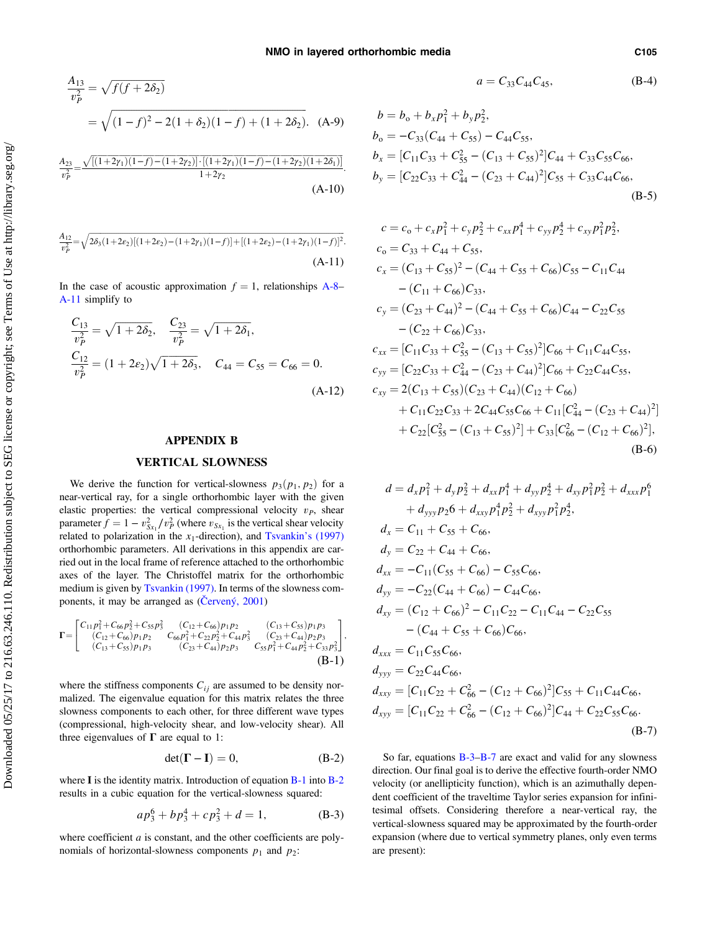<span id="page-14-0"></span>
$$
\frac{A_{13}}{v_P^2} = \sqrt{f(f + 2\delta_2)}
$$
  
=  $\sqrt{(1 - f)^2 - 2(1 + \delta_2)(1 - f) + (1 + 2\delta_2)}$ . (A-9)

$$
\frac{A_{23}}{v_P^2} = \frac{\sqrt{[(1+2\gamma_1)(1-f)-(1+2\gamma_2)]\cdot[(1+2\gamma_1)(1-f)-(1+2\gamma_2)(1+2\delta_1)]}}{1+2\gamma_2}.
$$
\n(A-10)

$$
\frac{A_{12}}{v_p^2} = \sqrt{2\delta_3(1+2\varepsilon_2)[(1+2\varepsilon_2)-(1+2\gamma_1)(1-f)] + [(1+2\varepsilon_2)-(1+2\gamma_1)(1-f)]^2}.
$$
\n(A-11)

In the case of acoustic approximation  $f = 1$ , relationships [A-8](#page-13-0)– A-11 simplify to

$$
\frac{C_{13}}{v_P^2} = \sqrt{1 + 2\delta_2}, \quad \frac{C_{23}}{v_P^2} = \sqrt{1 + 2\delta_1},
$$
  
\n
$$
\frac{C_{12}}{v_P^2} = (1 + 2\varepsilon_2)\sqrt{1 + 2\delta_3}, \quad C_{44} = C_{55} = C_{66} = 0.
$$
  
\n(A-12)

#### APPENDIX B

## VERTICAL SLOWNESS

We derive the function for vertical-slowness  $p_3(p_1, p_2)$  for a near-vertical ray, for a single orthorhombic layer with the given elastic properties: the vertical compressional velocity  $v<sub>P</sub>$ , shear parameter  $\hat{f} = 1 - v_{Sx_1}^2/v_P^2$  (where  $v_{Sx_1}$  is the vertical shear velocity related to polarization in the  $x_1$ -direction), and [Tsvankin](#page-20-0)'s (1997) orthorhombic parameters. All derivations in this appendix are carried out in the local frame of reference attached to the orthorhombic axes of the layer. The Christoffel matrix for the orthorhombic medium is given by [Tsvankin \(1997\).](#page-20-0) In terms of the slowness components, it may be arranged as (Č[ervený, 2001\)](#page-19-0)

$$
\mathbf{\Gamma} = \begin{bmatrix} C_{11}p_1^2 + C_{66}p_2^2 + C_{55}p_3^2 & (C_{12} + C_{66})p_1p_2 & (C_{13} + C_{55})p_1p_3 \\ (C_{12} + C_{66})p_1p_2 & C_{66}p_1^2 + C_{22}p_2^2 + C_{44}p_3^2 & (C_{23} + C_{44})p_2p_3 \\ (C_{13} + C_{55})p_1p_3 & (C_{23} + C_{44})p_2p_3 & C_{55}p_1^2 + C_{44}p_2^2 + C_{33}p_3^2 \end{bmatrix}, \tag{B-1}
$$

where the stiffness components  $C_{ij}$  are assumed to be density normalized. The eigenvalue equation for this matrix relates the three slowness components to each other, for three different wave types (compressional, high-velocity shear, and low-velocity shear). All three eigenvalues of  $\Gamma$  are equal to 1:

$$
\det(\mathbf{\Gamma} - \mathbf{I}) = 0, \tag{B-2}
$$

where  $\bf{I}$  is the identity matrix. Introduction of equation  $\bf{B-1}$  into  $\bf{B-2}$ results in a cubic equation for the vertical-slowness squared:

$$
ap_3^6 + bp_3^4 + cp_3^2 + d = 1,
$$
 (B-3)

where coefficient  $a$  is constant, and the other coefficients are polynomials of horizontal-slowness components  $p_1$  and  $p_2$ :

$$
a = C_{33}C_{44}C_{45}, \t\t (B-4)
$$

$$
b = b_0 + b_x p_1^2 + b_y p_2^2,
$$
  
\n
$$
b_0 = -C_{33}(C_{44} + C_{55}) - C_{44}C_{55},
$$
  
\n
$$
b_x = [C_{11}C_{33} + C_{55}^2 - (C_{13} + C_{55})^2]C_{44} + C_{33}C_{55}C_{66},
$$
  
\n
$$
b_y = [C_{22}C_{33} + C_{44}^2 - (C_{23} + C_{44})^2]C_{55} + C_{33}C_{44}C_{66},
$$
  
\n(B-5)

$$
c = c_0 + c_x p_1^2 + c_y p_2^2 + c_{xx} p_1^4 + c_{yy} p_2^4 + c_{xy} p_1^2 p_2^2,
$$
  
\n
$$
c_0 = C_{33} + C_{44} + C_{55},
$$
  
\n
$$
c_x = (C_{13} + C_{55})^2 - (C_{44} + C_{55} + C_{66})C_{55} - C_{11}C_{44}
$$
  
\n
$$
- (C_{11} + C_{66})C_{33},
$$
  
\n
$$
c_y = (C_{23} + C_{44})^2 - (C_{44} + C_{55} + C_{66})C_{44} - C_{22}C_{55}
$$
  
\n
$$
- (C_{22} + C_{66})C_{33},
$$
  
\n
$$
c_{xx} = [C_{11}C_{33} + C_{55}^2 - (C_{13} + C_{55})^2]C_{66} + C_{11}C_{44}C_{55},
$$
  
\n
$$
c_{yy} = [C_{22}C_{33} + C_{44}^2 - (C_{23} + C_{44})^2]C_{66} + C_{22}C_{44}C_{55},
$$
  
\n
$$
c_{xy} = 2(C_{13} + C_{55})(C_{23} + C_{44})(C_{12} + C_{66})
$$
  
\n
$$
+ C_{11}C_{22}C_{33} + 2C_{44}C_{55}C_{66} + C_{11}[C_{44}^2 - (C_{23} + C_{44})^2]
$$
  
\n
$$
+ C_{22}[C_{55}^2 - (C_{13} + C_{55})^2] + C_{33}[C_{66}^2 - (C_{12} + C_{66})^2],
$$
  
\n(B-6)

$$
d = d_x p_1^2 + d_y p_2^2 + d_{xx} p_1^4 + d_{yy} p_2^4 + d_{xy} p_1^2 p_2^2 + d_{xxx} p_1^6
$$
  
+  $d_{yyy} p_2 6 + d_{xxy} p_1^4 p_2^2 + d_{xyy} p_1^2 p_2^4$ ,  
 $d_x = C_{11} + C_{55} + C_{66}$ ,  
 $d_y = C_{22} + C_{44} + C_{66}$ ,  
 $d_{xx} = -C_{11} (C_{55} + C_{66}) - C_{55} C_{66}$ ,  
 $d_{yy} = -C_{22} (C_{44} + C_{66}) - C_{44} C_{66}$ ,  
 $d_{xy} = (C_{12} + C_{66})^2 - C_{11} C_{22} - C_{11} C_{44} - C_{22} C_{55}$   
-  $(C_{44} + C_{55} + C_{66}) C_{66}$ ,  
 $d_{xxx} = C_{11} C_{55} C_{66}$ ,  
 $d_{xxx} = C_{11} C_{55} C_{66}$ ,  
 $d_{xxy} = [C_{11} C_{22} + C_{66}^2 - (C_{12} + C_{66})^2] C_{55} + C_{11} C_{44} C_{66}$ ,  
 $d_{xyy} = [C_{11} C_{22} + C_{66}^2 - (C_{12} + C_{66})^2] C_{44} + C_{22} C_{55} C_{66}$ .  
(B-7)

So far, equations B-3–B-7 are exact and valid for any slowness direction. Our final goal is to derive the effective fourth-order NMO velocity (or anellipticity function), which is an azimuthally dependent coefficient of the traveltime Taylor series expansion for infinitesimal offsets. Considering therefore a near-vertical ray, the vertical-slowness squared may be approximated by the fourth-order expansion (where due to vertical symmetry planes, only even terms are present):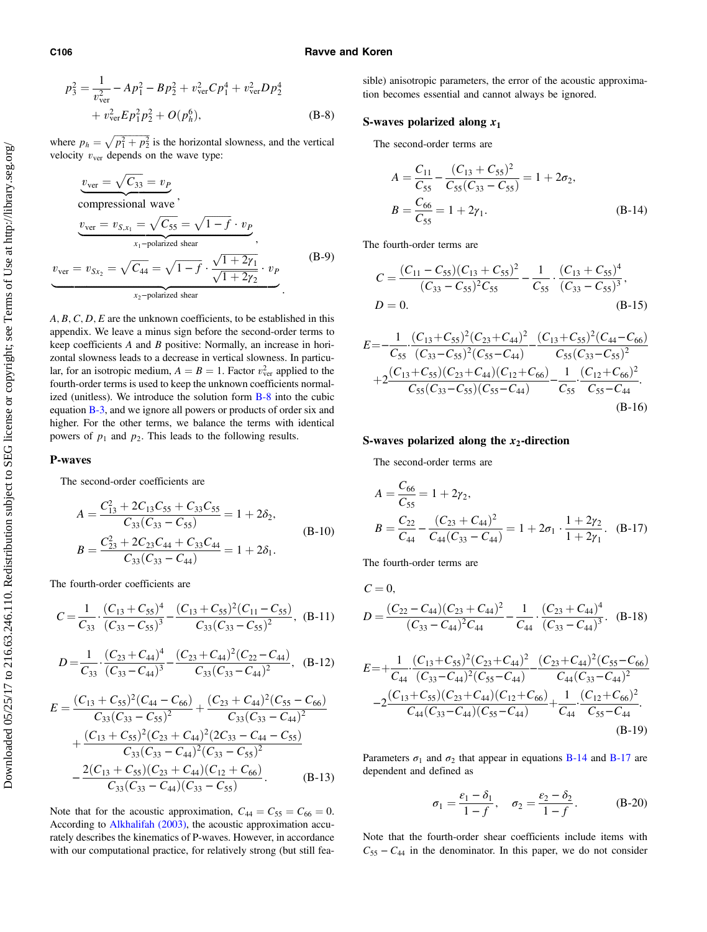#### C106 Ravve and Koren

$$
p_3^2 = \frac{1}{v_{\text{ver}}^2} - Ap_1^2 - Bp_2^2 + v_{\text{ver}}^2 Cp_1^4 + v_{\text{ver}}^2 Dp_2^4
$$
  
+  $v_{\text{ver}}^2 Ep_1^2 p_2^2 + O(p_h^6)$ , (B-8)

where  $p_h = \sqrt{p_1^2 + p_2^2}$  is the horizontal slowness, and the vertical velocity  $v_{\text{ver}}$  depends on the wave type:

$$
v_{\text{ver}} = \sqrt{C_{33}} = v_P
$$
  
compressional wave

$$
\underbrace{v_{\text{ver}} = v_{S,x_1} = \sqrt{C_{55}} = \sqrt{1 - f} \cdot v_P}_{x_1 - \text{polarized shear}},
$$
\n
$$
v_{\text{ver}} = v_{Sx_2} = \sqrt{C_{44}} = \sqrt{1 - f} \cdot \frac{\sqrt{1 + 2\gamma_1}}{\sqrt{1 + 2\gamma_2}} \cdot v_P
$$
\n
$$
v_{\text{zer}} = \sqrt{C_{44}} = \sqrt{1 - f} \cdot \frac{\sqrt{1 + 2\gamma_1}}{\sqrt{1 + 2\gamma_2}} \cdot v_P
$$
\n(B-9)

 $A, B, C, D, E$  are the unknown coefficients, to be established in this appendix. We leave a minus sign before the second-order terms to keep coefficients A and B positive: Normally, an increase in horizontal slowness leads to a decrease in vertical slowness. In particular, for an isotropic medium,  $A = B = 1$ . Factor  $v_{ver}^2$  applied to the fourth-order terms is used to keep the unknown coefficients normalized (unitless). We introduce the solution form [B-8](#page-14-0) into the cubic equation [B-3,](#page-14-0) and we ignore all powers or products of order six and higher. For the other terms, we balance the terms with identical powers of  $p_1$  and  $p_2$ . This leads to the following results.

#### P-waves

The second-order coefficients are

$$
A = \frac{C_{13}^2 + 2C_{13}C_{55} + C_{33}C_{55}}{C_{33}(C_{33} - C_{55})} = 1 + 2\delta_2,
$$
  
\n
$$
B = \frac{C_{23}^2 + 2C_{23}C_{44} + C_{33}C_{44}}{C_{33}(C_{33} - C_{44})} = 1 + 2\delta_1.
$$
\n(B-10)

The fourth-order coefficients are

$$
C = \frac{1}{C_{33}} \cdot \frac{(C_{13} + C_{55})^4}{(C_{33} - C_{55})^3} - \frac{(C_{13} + C_{55})^2 (C_{11} - C_{55})}{C_{33} (C_{33} - C_{55})^2}, \quad (B-11)
$$
  

$$
D = \frac{1}{C_{33}} \cdot \frac{(C_{23} + C_{44})^4}{(C_{33} - C_{44})^3} - \frac{(C_{23} + C_{44})^2 (C_{22} - C_{44})}{C_{33} (C_{33} - C_{44})^2}, \quad (B-12)
$$

$$
E = \frac{(C_{13} + C_{55})^2 (C_{44} - C_{66})}{C_{33}(C_{33} - C_{55})^2} + \frac{(C_{23} + C_{44})^2 (C_{55} - C_{66})}{C_{33}(C_{33} - C_{44})^2} + \frac{(C_{13} + C_{55})^2 (C_{23} + C_{44})^2 (2C_{33} - C_{44} - C_{55})}{C_{33}(C_{33} - C_{44})^2 (C_{33} - C_{55})^2} - \frac{2(C_{13} + C_{55})(C_{23} + C_{44})(C_{12} + C_{66})}{C_{33}(C_{33} - C_{44})(C_{33} - C_{55})}.
$$
 (B-13)

Note that for the acoustic approximation,  $C_{44} = C_{55} = C_{66} = 0$ . According to [Alkhalifah \(2003\),](#page-19-0) the acoustic approximation accurately describes the kinematics of P-waves. However, in accordance with our computational practice, for relatively strong (but still feasible) anisotropic parameters, the error of the acoustic approximation becomes essential and cannot always be ignored.

# S-waves polarized along  $x_1$

The second-order terms are

$$
A = \frac{C_{11}}{C_{55}} - \frac{(C_{13} + C_{55})^2}{C_{55}(C_{33} - C_{55})} = 1 + 2\sigma_2,
$$
  
\n
$$
B = \frac{C_{66}}{C_{55}} = 1 + 2\gamma_1.
$$
 (B-14)

The fourth-order terms are

$$
C = \frac{(C_{11} - C_{55})(C_{13} + C_{55})^2}{(C_{33} - C_{55})^2 C_{55}} - \frac{1}{C_{55}} \cdot \frac{(C_{13} + C_{55})^4}{(C_{33} - C_{55})^3},
$$
  

$$
D = 0.
$$
 (B-15)

$$
E = -\frac{1}{C_{55}} \frac{(C_{13} + C_{55})^2 (C_{23} + C_{44})^2}{(C_{33} - C_{55})^2 (C_{55} - C_{44})} - \frac{(C_{13} + C_{55})^2 (C_{44} - C_{66})}{C_{55} (C_{33} - C_{55})^2} + 2 \frac{(C_{13} + C_{55}) (C_{23} + C_{44}) (C_{12} + C_{66})}{C_{55} (C_{33} - C_{55}) (C_{55} - C_{44})} - \frac{1}{C_{55}} \frac{(C_{12} + C_{66})^2}{C_{55} - C_{44}}.
$$
\n(B-16)

## S-waves polarized along the  $x_2$ -direction

The second-order terms are

$$
A = \frac{C_{66}}{C_{55}} = 1 + 2\gamma_2,
$$
  
\n
$$
B = \frac{C_{22}}{C_{44}} - \frac{(C_{23} + C_{44})^2}{C_{44}(C_{33} - C_{44})} = 1 + 2\sigma_1 \cdot \frac{1 + 2\gamma_2}{1 + 2\gamma_1}.
$$
 (B-17)

The fourth-order terms are

$$
C = 0,
$$
  
\n
$$
D = \frac{(C_{22} - C_{44})(C_{23} + C_{44})^{2}}{(C_{33} - C_{44})^{2}C_{44}} - \frac{1}{C_{44}} \cdot \frac{(C_{23} + C_{44})^{4}}{(C_{33} - C_{44})^{3}}.
$$
 (B-18)  
\n
$$
E = +\frac{1}{C_{44}} \cdot \frac{(C_{13} + C_{55})^{2}(C_{23} + C_{44})^{2}}{(C_{33} - C_{44})^{2}(C_{55} - C_{44})} - \frac{(C_{23} + C_{44})^{2}(C_{55} - C_{66})}{C_{44}(C_{33} - C_{44})^{2}} - 2\frac{(C_{13} + C_{55})(C_{23} + C_{44})(C_{12} + C_{66})}{C_{44}(C_{33} - C_{44})(C_{55} - C_{44})} + \frac{1}{C_{44}} \cdot \frac{(C_{12} + C_{66})^{2}}{C_{55} - C_{44}}.
$$
  
\n(B-19)

Parameters  $\sigma_1$  and  $\sigma_2$  that appear in equations B-14 and B-17 are dependent and defined as

$$
\sigma_1 = \frac{\varepsilon_1 - \delta_1}{1 - f}, \quad \sigma_2 = \frac{\varepsilon_2 - \delta_2}{1 - f}.
$$
 (B-20)

Note that the fourth-order shear coefficients include items with  $C_{55} - C_{44}$  in the denominator. In this paper, we do not consider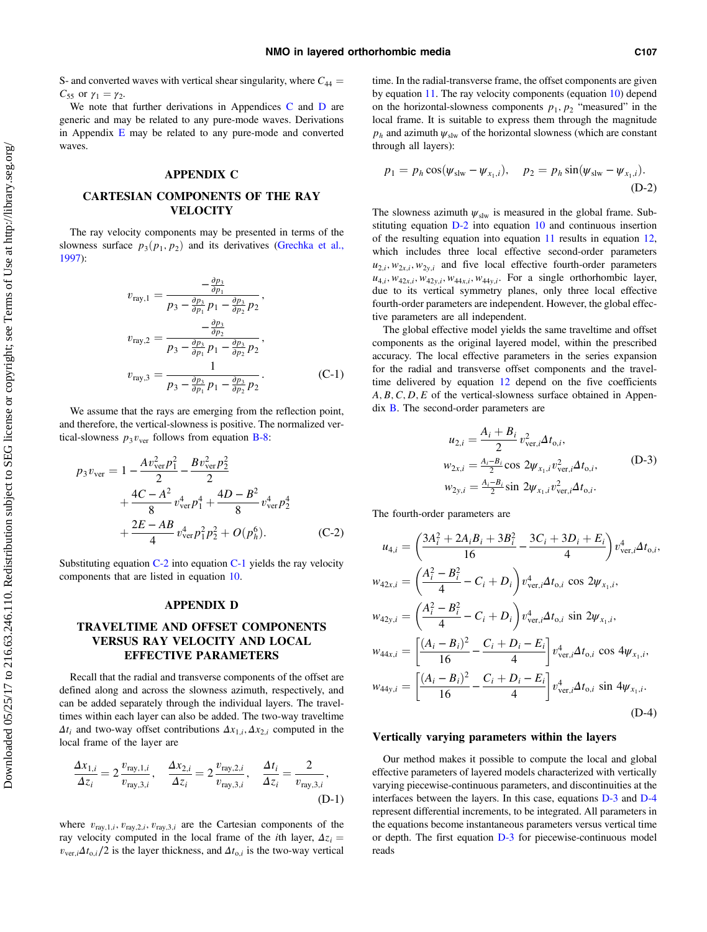<span id="page-16-0"></span>S- and converted waves with vertical shear singularity, where  $C_{44}$  =  $C_{55}$  or  $γ_1 = γ_2$ .

We note that further derivations in Appendices C and D are generic and may be related to any pure-mode waves. Derivations in Appendix  $E$  may be related to any pure-mode and converted waves.

# APPENDIX C

# CARTESIAN COMPONENTS OF THE RAY **VELOCITY**

The ray velocity components may be presented in terms of the slowness surface  $p_3(p_1, p_2)$  and its derivatives [\(Grechka et al.,](#page-19-0) [1997\)](#page-19-0):

$$
v_{\text{ray},1} = \frac{-\frac{\partial p_3}{\partial p_1}}{p_3 - \frac{\partial p_3}{\partial p_1} p_1 - \frac{\partial p_3}{\partial p_2} p_2},
$$
  
\n
$$
v_{\text{ray},2} = \frac{-\frac{\partial p_3}{\partial p_2}}{p_3 - \frac{\partial p_3}{\partial p_1} p_1 - \frac{\partial p_3}{\partial p_2} p_2},
$$
  
\n
$$
v_{\text{ray},3} = \frac{1}{p_3 - \frac{\partial p_3}{\partial p_1} p_1 - \frac{\partial p_3}{\partial p_2} p_2}.
$$
 (C-1)

We assume that the rays are emerging from the reflection point, and therefore, the vertical-slowness is positive. The normalized vertical-slowness  $p_3v_{\text{ver}}$  follows from equation [B-8:](#page-14-0)

$$
p_3 v_{\text{ver}} = 1 - \frac{A v_{\text{ver}}^2 p_1^2}{2} - \frac{B v_{\text{ver}}^2 p_2^2}{2} + \frac{4C - A^2}{8} v_{\text{ver}}^4 p_1^4 + \frac{4D - B^2}{8} v_{\text{ver}}^4 p_2^4 + \frac{2E - AB}{4} v_{\text{ver}}^4 p_1^2 p_2^2 + O(p_h^6).
$$
 (C-2)

Substituting equation  $C-2$  into equation  $C-1$  yields the ray velocity components that are listed in equation [10](#page-4-0).

#### APPENDIX D

# TRAVELTIME AND OFFSET COMPONENTS VERSUS RAY VELOCITY AND LOCAL EFFECTIVE PARAMETERS

Recall that the radial and transverse components of the offset are defined along and across the slowness azimuth, respectively, and can be added separately through the individual layers. The traveltimes within each layer can also be added. The two-way traveltime  $\Delta t_i$  and two-way offset contributions  $\Delta x_{1,i}, \Delta x_{2,i}$  computed in the local frame of the layer are

$$
\frac{\Delta x_{1,i}}{\Delta z_i} = 2 \frac{v_{\text{ray},1,i}}{v_{\text{ray},3,i}}, \quad \frac{\Delta x_{2,i}}{\Delta z_i} = 2 \frac{v_{\text{ray},2,i}}{v_{\text{ray},3,i}}, \quad \frac{\Delta t_i}{\Delta z_i} = \frac{2}{v_{\text{ray},3,i}},
$$
\n(D-1)

where  $v_{\text{ray},1,i}$ ,  $v_{\text{ray},2,i}$ ,  $v_{\text{ray},3,i}$  are the Cartesian components of the ray velocity computed in the local frame of the *i*th layer,  $\Delta z_i$  =  $v_{\text{ver},i} \Delta t_{0,i}/2$  is the layer thickness, and  $\Delta t_{0,i}$  is the two-way vertical time. In the radial-transverse frame, the offset components are given by equation [11](#page-4-0). The ray velocity components (equation [10](#page-4-0)) depend on the horizontal-slowness components  $p_1, p_2$  "measured" in the local frame. It is suitable to express them through the magnitude  $p_h$  and azimuth  $\psi_{\text{slw}}$  of the horizontal slowness (which are constant through all layers):

$$
p_1 = p_h \cos(\psi_{\rm slw} - \psi_{x_1,i}), \quad p_2 = p_h \sin(\psi_{\rm slw} - \psi_{x_1,i}).
$$
\n(D-2)

The slowness azimuth  $\psi_{\text{slw}}$  is measured in the global frame. Substituting equation D-2 into equation [10](#page-4-0) and continuous insertion of the resulting equation into equation [11](#page-4-0) results in equation [12,](#page-5-0) which includes three local effective second-order parameters  $u_{2,i}, w_{2x,i}, w_{2y,i}$  and five local effective fourth-order parameters  $u_{4,i}, w_{42x,i}, w_{42y,i}, w_{44x,i}, w_{44y,i}$ . For a single orthorhombic layer, due to its vertical symmetry planes, only three local effective fourth-order parameters are independent. However, the global effective parameters are all independent.

The global effective model yields the same traveltime and offset components as the original layered model, within the prescribed accuracy. The local effective parameters in the series expansion for the radial and transverse offset components and the travel-time delivered by equation [12](#page-5-0) depend on the five coefficients  $A, B, C, D, E$  of the vertical-slowness surface obtained in Appendix [B](#page-14-0). The second-order parameters are

$$
u_{2,i} = \frac{A_i + B_i}{2} v_{ver,i}^2 \Delta t_{0,i},
$$
  
\n
$$
w_{2x,i} = \frac{A_i - B_i}{2} \cos 2\psi_{x_1,i} v_{ver,i}^2 \Delta t_{0,i},
$$
  
\n
$$
w_{2y,i} = \frac{A_i - B_i}{2} \sin 2\psi_{x_1,i} v_{ver,i}^2 \Delta t_{0,i}.
$$
 (D-3)

The fourth-order parameters are

$$
u_{4,i} = \left(\frac{3A_i^2 + 2A_iB_i + 3B_i^2}{16} - \frac{3C_i + 3D_i + E_i}{4}\right)v_{\text{ver},i}^4 \Delta t_{0,i},
$$
  
\n
$$
w_{42x,i} = \left(\frac{A_i^2 - B_i^2}{4} - C_i + D_i\right)v_{\text{ver},i}^4 \Delta t_{0,i} \cos 2\psi_{x_1,i},
$$
  
\n
$$
w_{42y,i} = \left(\frac{A_i^2 - B_i^2}{4} - C_i + D_i\right)v_{\text{ver},i}^4 \Delta t_{0,i} \sin 2\psi_{x_1,i},
$$
  
\n
$$
w_{44x,i} = \left[\frac{(A_i - B_i)^2}{16} - \frac{C_i + D_i - E_i}{4}\right]v_{\text{ver},i}^4 \Delta t_{0,i} \cos 4\psi_{x_1,i},
$$
  
\n
$$
w_{44y,i} = \left[\frac{(A_i - B_i)^2}{16} - \frac{C_i + D_i - E_i}{4}\right]v_{\text{ver},i}^4 \Delta t_{0,i} \sin 4\psi_{x_1,i}.
$$
  
\n(D-4)

## Vertically varying parameters within the layers

Our method makes it possible to compute the local and global effective parameters of layered models characterized with vertically varying piecewise-continuous parameters, and discontinuities at the interfaces between the layers. In this case, equations D-3 and D-4 represent differential increments, to be integrated. All parameters in the equations become instantaneous parameters versus vertical time or depth. The first equation D-3 for piecewise-continuous model reads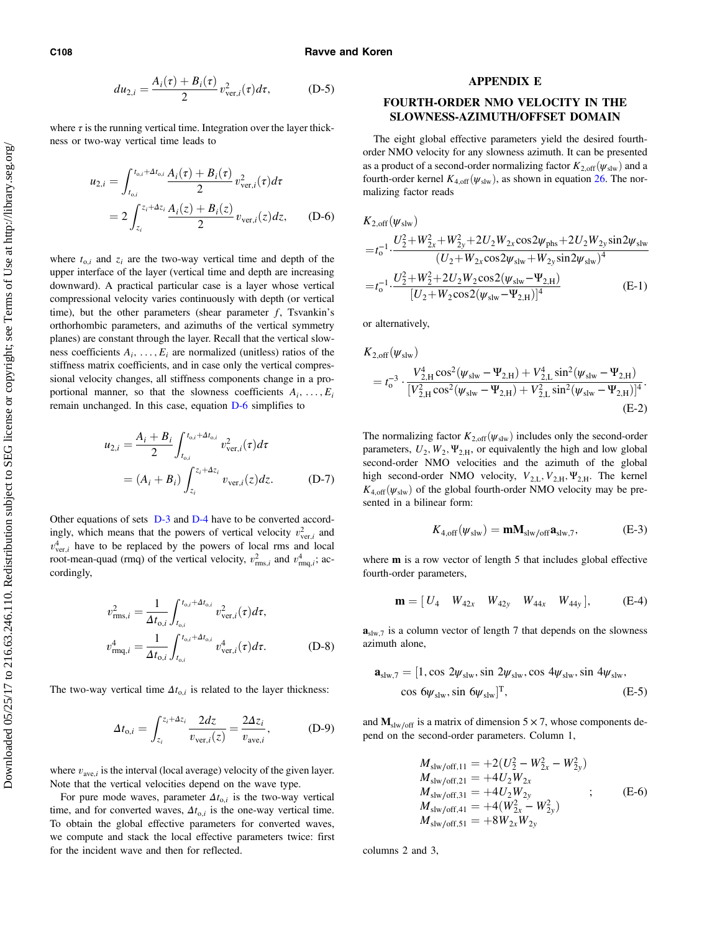#### <span id="page-17-0"></span>C108 Ravve and Koren

$$
du_{2,i} = \frac{A_i(\tau) + B_i(\tau)}{2} v_{\text{ver},i}^2(\tau) d\tau, \tag{D-5}
$$

where  $\tau$  is the running vertical time. Integration over the layer thickness or two-way vertical time leads to

$$
u_{2,i} = \int_{t_{0,i}}^{t_{0,i} + \Delta t_{0,i}} \frac{A_i(\tau) + B_i(\tau)}{2} v_{ver,i}^2(\tau) d\tau
$$
  
= 
$$
2 \int_{z_i}^{z_i + \Delta z_i} \frac{A_i(z) + B_i(z)}{2} v_{ver,i}(z) dz,
$$
 (D-6)

where  $t_{0,i}$  and  $z_i$  are the two-way vertical time and depth of the upper interface of the layer (vertical time and depth are increasing downward). A practical particular case is a layer whose vertical compressional velocity varies continuously with depth (or vertical time), but the other parameters (shear parameter  $f$ , Tsvankin's orthorhombic parameters, and azimuths of the vertical symmetry planes) are constant through the layer. Recall that the vertical slowness coefficients  $A_i, \ldots, E_i$  are normalized (unitless) ratios of the stiffness matrix coefficients, and in case only the vertical compressional velocity changes, all stiffness components change in a proportional manner, so that the slowness coefficients  $A_i, \ldots, E_i$ remain unchanged. In this case, equation D-6 simplifies to

$$
u_{2,i} = \frac{A_i + B_i}{2} \int_{t_{0,i}}^{t_{0,i} + \Delta t_{0,i}} v_{\text{ver},i}^2(\tau) d\tau
$$
  
=  $(A_i + B_i) \int_{z_i}^{z_i + \Delta z_i} v_{\text{ver},i}(z) dz.$  (D-7)

Other equations of sets [D-3](#page-16-0) and [D-4](#page-16-0) have to be converted accordingly, which means that the powers of vertical velocity  $v_{\text{ver.}i}^2$  and  $v_{ver.i}^4$  have to be replaced by the powers of local rms and local root-mean-quad (rmq) of the vertical velocity,  $v_{\text{rms},i}^2$  and  $v_{\text{rms},i}^4$ ; accordingly,

$$
v_{\text{rms},i}^2 = \frac{1}{\Delta t_{\text{o},i}} \int_{t_{\text{o},i}}^{t_{\text{o},i} + \Delta t_{\text{o},i}} v_{\text{ver},i}^2(\tau) d\tau,
$$
  

$$
v_{\text{rm},i}^4 = \frac{1}{\Delta t_{\text{o},i}} \int_{t_{\text{o},i}}^{t_{\text{o},i} + \Delta t_{\text{o},i}} v_{\text{ver},i}^4(\tau) d\tau.
$$
 (D-8)

The two-way vertical time  $\Delta t_{0,i}$  is related to the layer thickness:

$$
\Delta t_{\text{o},i} = \int_{z_i}^{z_i + \Delta z_i} \frac{2dz}{v_{\text{ver},i}(z)} = \frac{2\Delta z_i}{v_{\text{ave},i}},\tag{D-9}
$$

where  $v_{\text{ave},i}$  is the interval (local average) velocity of the given layer. Note that the vertical velocities depend on the wave type.

For pure mode waves, parameter  $\Delta t_{0,i}$  is the two-way vertical time, and for converted waves,  $\Delta t_{o,i}$  is the one-way vertical time. To obtain the global effective parameters for converted waves, we compute and stack the local effective parameters twice: first for the incident wave and then for reflected.

#### APPENDIX E

# FOURTH-ORDER NMO VELOCITY IN THE SLOWNESS-AZIMUTH/OFFSET DOMAIN

The eight global effective parameters yield the desired fourthorder NMO velocity for any slowness azimuth. It can be presented as a product of a second-order normalizing factor  $K_{2,\text{off}}(\psi_{\text{slw}})$  and a fourth-order kernel  $K_{4,\text{off}}(\psi_{\text{slw}})$ , as shown in equation [26](#page-7-0). The normalizing factor reads

$$
K_{2,\text{off}}(\psi_{\text{slw}})
$$
  
= $t_0^{-1} \cdot \frac{U_2^2 + W_{2x}^2 + W_{2y}^2 + 2U_2 W_{2x} \cos 2\psi_{\text{phs}} + 2U_2 W_{2y} \sin 2\psi_{\text{slw}}}{(U_2 + W_{2x} \cos 2\psi_{\text{slw}} + W_{2y} \sin 2\psi_{\text{slw}})^4}$   
= $t_0^{-1} \cdot \frac{U_2^2 + W_2^2 + 2U_2 W_2 \cos 2(\psi_{\text{slw}} - \Psi_{2,H})}{[U_2 + W_2 \cos 2(\psi_{\text{slw}} - \Psi_{2,H})]^4}$  (E-1)

or alternatively,

$$
K_{2,off}(\psi_{\text{slw}})
$$
  
=  $t_0^{-3} \cdot \frac{V_{2,H}^4 \cos^2(\psi_{\text{slw}} - \Psi_{2,H}) + V_{2,L}^4 \sin^2(\psi_{\text{slw}} - \Psi_{2,H})}{[V_{2,H}^2 \cos^2(\psi_{\text{slw}} - \Psi_{2,H}) + V_{2,L}^2 \sin^2(\psi_{\text{slw}} - \Psi_{2,H})]^4}$ .  
(E-2)

The normalizing factor  $K_{2,\text{off}}(\psi_{\text{slw}})$  includes only the second-order parameters,  $U_2$ ,  $W_2$ ,  $\Psi_{2,H}$ , or equivalently the high and low global second-order NMO velocities and the azimuth of the global high second-order NMO velocity,  $V_{2,L}$ ,  $V_{2,H}$ ,  $\Psi_{2,H}$ . The kernel  $K_{4,off}(\psi_{slw})$  of the global fourth-order NMO velocity may be presented in a bilinear form:

$$
K_{4,\text{off}}(\psi_{\text{slw}}) = \mathbf{m} \mathbf{M}_{\text{slw/off}} \mathbf{a}_{\text{slw},7},\tag{E-3}
$$

where **m** is a row vector of length 5 that includes global effective fourth-order parameters,

$$
\mathbf{m} = [U_4 \quad W_{42x} \quad W_{42y} \quad W_{44x} \quad W_{44y}], \quad \text{(E-4)}
$$

 $\mathbf{a}_{\text{slw},7}$  is a column vector of length 7 that depends on the slowness azimuth alone,

$$
\mathbf{a}_{\text{slw},7} = [1, \cos 2\psi_{\text{slw}}, \sin 2\psi_{\text{slw}}, \cos 4\psi_{\text{slw}}, \sin 4\psi_{\text{slw}},\n\cos 6\psi_{\text{slw}}, \sin 6\psi_{\text{slw}}]^T, \tag{E-5}
$$

and  $M_{\text{slw}/\text{off}}$  is a matrix of dimension 5  $\times$  7, whose components depend on the second-order parameters. Column 1,

$$
M_{\text{slw/off,11}} = +2(U_2^2 - W_{2x}^2 - W_{2y}^2)
$$
  
\n
$$
M_{\text{slw/off,21}} = +4U_2W_{2x}
$$
  
\n
$$
M_{\text{slw/off,31}} = +4U_2W_{2y}
$$
  
\n
$$
M_{\text{slw/off,41}} = +4(W_{2x}^2 - W_{2y}^2)
$$
  
\n
$$
M_{\text{slw/off,51}} = +8W_{2x}W_{2y}
$$
  
\n
$$
(E-6)
$$

columns 2 and 3,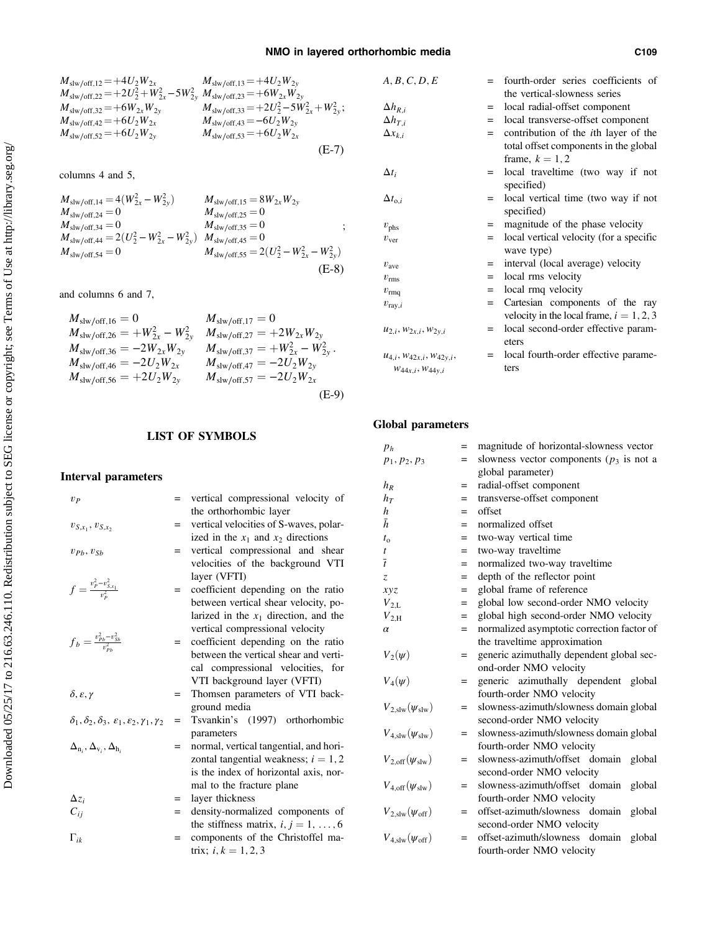$$
M_{\text{slw/off},12} = +4U_2W_{2x} \t M_{\text{slw/off},13} = +4U_2W_{2y} \nM_{\text{slw/off},22} = +2U_2^2 + W_{2x}^2 - 5W_{2y}^2 \t M_{\text{slw/off},33} = +6W_{2x}W_{2y} \nM_{\text{slw/off},32} = +6W_{2x}W_{2y} \t M_{\text{slw/off},33} = +2U_2^2 - 5W_{2x}^2 + W_{2y}^2; \nM_{\text{slw/off},42} = +6U_2W_{2x} \t M_{\text{slw/off},43} = -6U_2W_{2y} \nM_{\text{slw/off},52} = +6U_2W_{2y} \t M_{\text{slw/off},53} = +6U_2W_{2x}
$$
\n(E-7)

columns 4 and 5,

$$
M_{\text{slw/off,14}} = 4(W_{2x}^2 - W_{2y}^2)
$$
  
\n
$$
M_{\text{slw/off,15}} = 8W_{2x}W_{2y}
$$
  
\n
$$
M_{\text{slw/off,24}} = 0
$$
  
\n
$$
M_{\text{slw/off,35}} = 0
$$
  
\n
$$
M_{\text{slw/off,35}} = 0
$$
  
\n
$$
M_{\text{slw/off,44}} = 2(U_2^2 - W_{2x}^2 - W_{2y}^2)
$$
  
\n
$$
M_{\text{slw/off,45}} = 0
$$
  
\n
$$
M_{\text{slw/off,55}} = 2(U_2^2 - W_{2x}^2 - W_{2y}^2)
$$
  
\n
$$
M_{\text{slw/off,55}} = 2(U_2^2 - W_{2x}^2 - W_{2y}^2)
$$
  
\n
$$
(-E-8)
$$

and columns 6 and 7,

$$
M_{\text{slw/off,16}} = 0 \t M_{\text{slw/off,26}} = +W_{2x}^{2} - W_{2y}^{2} \t M_{\text{slw/off,27}} = +2W_{2x}W_{2y}
$$
  
\n
$$
M_{\text{slw/off,36}} = -2W_{2x}W_{2y} \t M_{\text{slw/off,37}} = +W_{2x}^{2} - W_{2y}^{2}.
$$
  
\n
$$
M_{\text{slw/off,46}} = -2U_{2}W_{2x} \t M_{\text{slw/off,47}} = -2U_{2}W_{2y}.
$$
  
\n
$$
M_{\text{slw/off,56}} = +2U_{2}W_{2y} \t M_{\text{slw/off,57}} = -2U_{2}W_{2x}
$$
  
\n
$$
M_{\text{slw/off,56}} = -2U_{2}W_{2y} \t M_{\text{slw/off,57}} = -2U_{2}W_{2x}
$$
  
\n(E-9)

# LIST OF SYMBOLS

# Interval parameters

| $v_{P}$                                                                          | $=$ | vertical compressional velocity of      |
|----------------------------------------------------------------------------------|-----|-----------------------------------------|
|                                                                                  |     | the orthorhombic layer                  |
| $v_{S,x_1}, v_{S,x_2}$                                                           | $=$ | vertical velocities of S-waves, polar-  |
|                                                                                  |     | ized in the $x_1$ and $x_2$ directions  |
| $v_{Ph}, v_{Sh}$                                                                 | $=$ | vertical compressional and shear        |
|                                                                                  |     | velocities of the background VTI        |
|                                                                                  |     | layer (VFTI)                            |
| $f = \frac{v_P^2 - v_{S,x_1}^2}{v_P^2}$                                          | $=$ | coefficient depending on the ratio      |
|                                                                                  |     | between vertical shear velocity, po-    |
|                                                                                  |     |                                         |
|                                                                                  |     | larized in the $x_1$ direction, and the |
|                                                                                  |     | vertical compressional velocity         |
| $f_b = \frac{v_{Pb}^2 - v_{Sb}^2}{v_{Pb}^2}$                                     | $=$ | coefficient depending on the ratio      |
|                                                                                  |     | between the vertical shear and verti-   |
|                                                                                  |     | cal compressional velocities, for       |
|                                                                                  |     | VTI background layer (VFTI)             |
| $\delta$ , $\varepsilon$ , $\gamma$                                              | $=$ | Thomsen parameters of VTI back-         |
|                                                                                  |     | ground media                            |
| $\delta_1, \delta_2, \delta_3, \varepsilon_1, \varepsilon_2, \gamma_1, \gamma_2$ | $=$ | Tsvankin's (1997) orthorhombic          |
|                                                                                  |     | parameters                              |
| $\Delta_{n_i}, \Delta_{v_i}, \Delta_{h_i}$                                       | $=$ | normal, vertical tangential, and hori-  |
|                                                                                  |     | zontal tangential weakness; $i = 1, 2$  |
|                                                                                  |     | is the index of horizontal axis, nor-   |
|                                                                                  |     | mal to the fracture plane               |
|                                                                                  |     |                                         |
| $\Delta z_i$                                                                     | $=$ | layer thickness                         |
| $C_{ij}$                                                                         | $=$ | density-normalized components of        |
|                                                                                  |     | the stiffness matrix, $i, j = 1, , 6$   |
| $\Gamma_{ik}$                                                                    | $=$ | components of the Christoffel ma-       |
|                                                                                  |     | trix; $i, k = 1, 2, 3$                  |
|                                                                                  |     |                                         |

| A, B, C, D, E                    | $=$ | fourth-order series coefficients of          |
|----------------------------------|-----|----------------------------------------------|
|                                  |     | the vertical-slowness series                 |
| $\Delta h_{R,i}$                 | $=$ | local radial-offset component                |
| $\Delta h_{T,i}$                 | $=$ | local transverse-offset component            |
| $\Delta x_{k,i}$                 | $=$ | contribution of the <i>i</i> th layer of the |
|                                  |     | total offset components in the global        |
|                                  |     | frame, $k = 1, 2$                            |
| $\Delta t_i$                     | $=$ | local traveltime (two way if not             |
|                                  |     | specified)                                   |
| $\Delta t_{o,i}$                 | $=$ | local vertical time (two way if not          |
|                                  |     | specified)                                   |
| $v_{\rm phs}$                    | $=$ | magnitude of the phase velocity              |
| $v_{\rm ver}$                    | $=$ | local vertical velocity (for a specific      |
|                                  |     | wave type)                                   |
| $v_{\rm ave}$                    | $=$ | interval (local average) velocity            |
| $v_{\rm rms}$                    | $=$ | local rms velocity                           |
| $v_{\rm rms}$                    | $=$ | local rmq velocity                           |
| $v_{\text{ray},i}$               | $=$ | Cartesian components of the ray              |
|                                  |     | velocity in the local frame, $i = 1, 2, 3$   |
| $u_{2,i}, w_{2x,i}, w_{2y,i}$    | $=$ | local second-order effective param-          |
|                                  |     | eters                                        |
| $u_{4,i}, w_{42x,i}, w_{42y,i},$ | $=$ | local fourth-order effective parame-         |
| $W_{44x,i}, W_{44y,i}$           |     | ters                                         |

# Global parameters

| $p_h$                                 | $=$ | magnitude of horizontal-slowness vector     |
|---------------------------------------|-----|---------------------------------------------|
| $p_1, p_2, p_3$                       | $=$ | slowness vector components ( $p_3$ is not a |
|                                       |     | global parameter)                           |
| $h_R$                                 | $=$ | radial-offset component                     |
| $h_T$                                 | $=$ | transverse-offset component                 |
| $\boldsymbol{h}$                      | $=$ | offset                                      |
| $\bar{h}$                             | $=$ | normalized offset                           |
| $t_{\rm o}$                           | $=$ | two-way vertical time                       |
| t                                     | $=$ | two-way traveltime                          |
| $\bar{t}$                             | $=$ | normalized two-way traveltime               |
| $\overline{z}$                        | $=$ | depth of the reflector point                |
| xyz                                   | $=$ | global frame of reference                   |
| $V_{2,L}$                             | $=$ | global low second-order NMO velocity        |
| $V_{2,H}$                             | $=$ | global high second-order NMO velocity       |
| $\alpha$                              | $=$ | normalized asymptotic correction factor of  |
|                                       |     | the traveltime approximation                |
| $V_2(\psi)$                           | $=$ | generic azimuthally dependent global sec-   |
|                                       |     | ond-order NMO velocity                      |
| $V_4(\psi)$                           | $=$ | generic azimuthally dependent global        |
|                                       |     | fourth-order NMO velocity                   |
| $V_{2,\text{slw}}(\psi_{\text{slw}})$ | $=$ | slowness-azimuth/slowness domain global     |
|                                       |     | second-order NMO velocity                   |
| $V_{4,\text{slw}}(\psi_{\text{slw}})$ | $=$ | slowness-azimuth/slowness domain global     |
|                                       |     | fourth-order NMO velocity                   |
| $V_{2,\text{off}}(\psi_{\text{slw}})$ | $=$ | slowness-azimuth/offset domain<br>global    |
|                                       |     | second-order NMO velocity                   |
| $V_{4,\text{off}}(\psi_{\text{slw}})$ | $=$ | slowness-azimuth/offset domain<br>global    |
|                                       |     | fourth-order NMO velocity                   |
| $V_{2,\text{slw}}(\psi_{\text{off}})$ | $=$ | offset-azimuth/slowness domain<br>global    |
|                                       |     | second-order NMO velocity                   |
| $V_{4,slw}(\psi_{\rm off})$           | $=$ | offset-azimuth/slowness domain global       |
|                                       |     | fourth-order NMO velocity                   |
|                                       |     |                                             |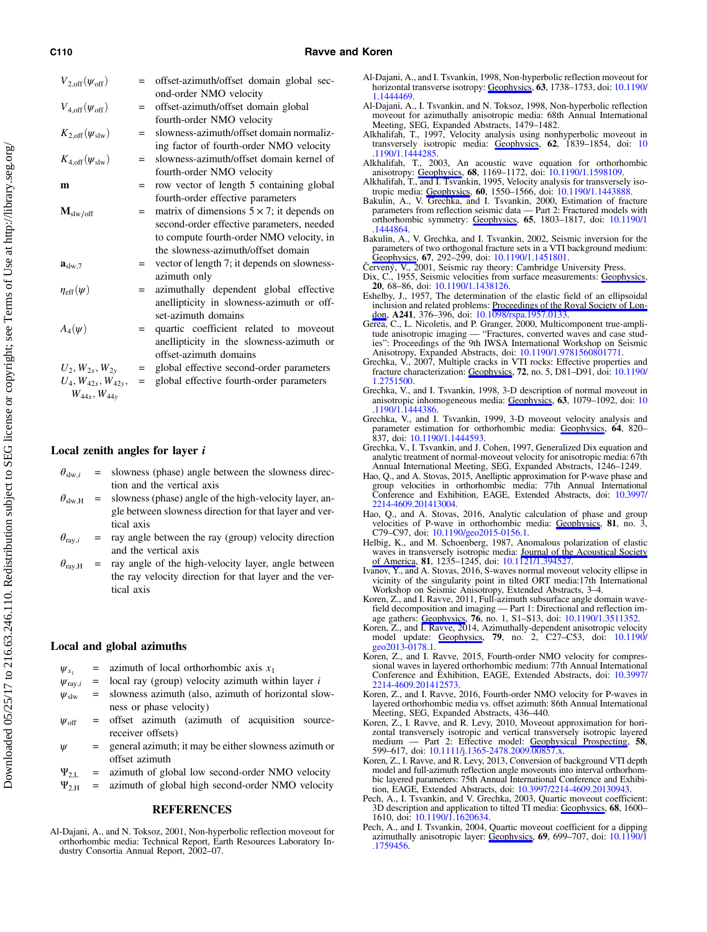#### <span id="page-19-0"></span>C110 **C110 Ravve and Koren**

| $V_{2,\text{off}}(\psi_{\text{off}})$ |     | offset-azimuth/offset domain global sec-<br>ond-order NMO velocity |
|---------------------------------------|-----|--------------------------------------------------------------------|
| $V_{4,\text{off}}(\psi_{\text{off}})$ | $=$ | offset-azimuth/offset domain global                                |
|                                       |     | fourth-order NMO velocity                                          |
| $K_{2,\text{off}}(\psi_{\text{slw}})$ | $=$ | slowness-azimuth/offset domain normaliz-                           |
|                                       |     | ing factor of fourth-order NMO velocity                            |
| $K_{4,\text{off}}(\psi_{\text{slw}})$ | $=$ | slowness-azimuth/offset domain kernel of                           |
|                                       |     | fourth-order NMO velocity                                          |
| m                                     | $=$ | row vector of length 5 containing global                           |
|                                       |     | fourth-order effective parameters                                  |
| $M_{\text{slw}/\text{off}}$           | $=$ | matrix of dimensions $5 \times 7$ ; it depends on                  |
|                                       |     | second-order effective parameters, needed                          |
|                                       |     | to compute fourth-order NMO velocity, in                           |
|                                       |     | the slowness-azimuth/offset domain                                 |
| $\mathbf{a}_{\text{slw.7}}$           | $=$ | vector of length 7; it depends on slowness-                        |
|                                       |     | azimuth only                                                       |
| $\eta_{\rm eff}(\psi)$                | $=$ | azimuthally dependent global effective                             |
|                                       |     | anellipticity in slowness-azimuth or off-                          |
|                                       |     | set-azimuth domains                                                |
| $A_4(\psi)$                           | $=$ | quartic coefficient related to moveout                             |
|                                       |     | anellipticity in the slowness-azimuth or                           |
|                                       |     | offset-azimuth domains                                             |
| $U_2, W_{2x}, W_{2y}$                 | $=$ | global effective second-order parameters                           |
| $U_4, W_{42x}, W_{42y},$              | $=$ | global effective fourth-order parameters                           |
| $W_{44x}$ , $W_{44y}$                 |     |                                                                    |

#### Local zenith angles for layer i

- $\theta_{\text{slw},i}$  = slowness (phase) angle between the slowness direction and the vertical axis
- $\theta_{\text{slw.H}}$  = slowness (phase) angle of the high-velocity layer, angle between slowness direction for that layer and vertical axis
- $\theta_{\text{ray},i}$  = ray angle between the ray (group) velocity direction and the vertical axis
- $\theta_{\text{ray,H}}$  = ray angle of the high-velocity layer, angle between the ray velocity direction for that layer and the vertical axis

# Local and global azimuths

- $\psi_{x_1}$  = azimuth of local orthorhombic axis  $x_1$
- $\psi_{\text{ray},i}$  = local ray (group) velocity azimuth within layer *i*
- $\psi_{\rm slw}$  = slowness azimuth (also, azimuth of horizontal slowness or phase velocity)
- $\psi_{\text{off}}$  = offset azimuth (azimuth of acquisition sourcereceiver offsets)
- $\psi$  = general azimuth; it may be either slowness azimuth or offset azimuth
- 
- $\Psi_{2,L}$  = azimuth of global low second-order NMO velocity<br>  $\Psi_{2,H}$  = azimuth of global high second-order NMO velocity = azimuth of global high second-order NMO velocity

#### REFERENCES

Al-Dajani, A., and N. Toksoz, 2001, Non-hyperbolic reflection moveout for orthorhombic media: Technical Report, Earth Resources Laboratory In-dustry Consortia Annual Report, 2002–07.

- Al-Dajani, A., and I. Tsvankin, 1998, Non-hyperbolic reflection moveout for horizontal transverse isotropy: [Geophysics,](http://library.seg.org/action/showLinks?doi=10.1190%2Fgeo2015-0621.1&system=10.1190%2F1.1444469&isi=000076285600026&citationId=p_2) 63, 1738–1753, doi: [10.1190/](http://dx.doi.org/10.1190/1.1444469) [1.1444469.](http://dx.doi.org/10.1190/1.1444469)
- Al-Dajani, A., I. Tsvankin, and N. Toksoz, 1998, Non-hyperbolic reflection moveout for azimuthally anisotropic media: 68th Annual International Meeting, SEG, Expanded Abstracts, 1479–1482. Alkhalifah, T., 1997, Velocity analysis using nonhyperbolic moveout in
- transversely isotropic media: [Geophysics,](http://library.seg.org/action/showLinks?doi=10.1190%2Fgeo2015-0621.1&system=10.1190%2F1.1444285&isi=A1997YH64100018&citationId=p_4) 62, 1839-1854, doi: [10](http://dx.doi.org/10.1190/1.1444285)<br>.1190/1.1444285. [.1190/1.1444285.](http://dx.doi.org/10.1190/1.1444285) Alkhalifah, T., 2003, An acoustic wave equation for orthorhombic
- anisotropy: [Geophysics](http://library.seg.org/action/showLinks?doi=10.1190%2Fgeo2015-0621.1&system=10.1190%2F1.1598109&isi=000220836300006&citationId=p_5), 68, 1169–1172, doi: [10.1190/1.1598109.](http://dx.doi.org/10.1190/1.1598109)<br>Alkhalifah, T., and I. Tsvankin, 1995, Velocity analysis for transversely iso-
- 
- tropic media: [Geophysics,](http://library.seg.org/action/showLinks?doi=10.1190%2Fgeo2015-0621.1&system=10.1190%2F1.1443888&isi=A1995RR66900024&citationId=p_6) <sup>60</sup>, 1550–1566, doi: [10.1190/1.1443888.](http://dx.doi.org/10.1190/1.1443888) Bakulin, A., V. Grechka, and I. Tsvankin, 2000, Estimation of fracture parameters from reflection seismic data Part 2: Fractured models with orthorhombic symmetry: [Geophysics](http://library.seg.org/action/showLinks?doi=10.1190%2Fgeo2015-0621.1&system=10.1190%2F1.1444864&isi=000165747400010&citationId=p_7), 65, 1803–1817, doi: [10.1190/1](http://dx.doi.org/10.1190/1.1444864) [.1444864.](http://dx.doi.org/10.1190/1.1444864)
- Bakulin, A., V. Grechka, and I. Tsvankin, 2002, Seismic inversion for the parameters of two orthogonal fracture sets in a VTI background medium:<br>[Geophysics,](http://library.seg.org/action/showLinks?doi=10.1190%2Fgeo2015-0621.1&system=10.1190%2F1.1451801&isi=000173775600032&citationId=p_8) 67, 292–299, doi: [10.1190/1.1451801.](http://dx.doi.org/10.1190/1.1451801)
- Červený, V., 2001, Seismic ray theory: Cambridge University Press.
- Dix, C., 1955, Seismic velocities from surface measurements: [Geophysics](http://library.seg.org/action/showLinks?doi=10.1190%2Fgeo2015-0621.1&system=10.1190%2F1.1438126&citationId=p_10), 20, 68–86, doi: [10.1190/1.1438126](http://dx.doi.org/10.1190/1.1438126).<br>
Eshelby, J., 1957, The determination of the elastic field of an ellipsoidal
- inclusion and related problems: Proceedings of the Royal Society of Lon-<br>[don,](http://library.seg.org/action/showLinks?doi=10.1190%2Fgeo2015-0621.1&crossref=10.1098%2Frspa.1957.0133&isi=A1957WU27300006&citationId=p_11) A241, 376–396, doi: [10.1098/rspa.1957.0133](http://dx.doi.org/10.1098/rspa.1957.0133).<br>Gerea, C., L. Nicoletis, and P. Granger, 2000, Multicomponent true-ampli-<br>tude anisotropic imaging —
- ies": Proceedings of the 9th IWSA International Workshop on Seismic
- Anisotropy, Expanded Abstracts, doi: [10.1190/1.9781560801771](http://dx.doi.org/10.1190/1.9781560801771). Grechka, V., 2007, Multiple cracks in VTI rocks: Effective properties and fracture characterization: [Geophysics](http://library.seg.org/action/showLinks?doi=10.1190%2Fgeo2015-0621.1&system=10.1190%2F1.2751500&isi=000249683600010&citationId=p_13), 72, no. 5, D81-D91, doi: [10.1190/](http://dx.doi.org/10.1190/1.2751500)<br>1.2751500.
- Grechka, V., and I. Tsvankin, 1998, 3-D description of normal moveout in anisotropic inhomogeneous media: [Geophysics,](http://library.seg.org/action/showLinks?doi=10.1190%2Fgeo2015-0621.1&system=10.1190%2F1.1444386&isi=000073794000030&citationId=p_14) 63, 1079–1092, doi: [10](http://dx.doi.org/10.1190/1.1444386) [.1190/1.1444386.](http://dx.doi.org/10.1190/1.1444386)
- Grechka, V., and I. Tsvankin, 1999, 3-D moveout velocity analysis and parameter estimation for orthorhombic media: <u>Geophysics</u>, 64, 820–<br>837, doi: [10.1190/1.1444593](http://dx.doi.org/10.1190/1.1444593).
- Grechka, V., I. Tsvankin, and J. Cohen, 1997, Generalized Dix equation and analytic treatment of normal-moveout velocity for anisotropic media: 67th Annual International Meeting, SEG, Expanded Abstracts, 1246–1249.
- Hao, Q., and A. Stovas, 2015, Anelliptic approximation for P-wave phase and group velocities in orthorhombic media: 77th Annual International Conference and Exhibition, EAGE, Extended Abstracts, doi: [10.3997/](http://dx.doi.org/10.3997/2214-4609.201413004) [2214-4609.201413004.](http://dx.doi.org/10.3997/2214-4609.201413004)
- Hao, Q., and A. Stovas, 2016, Analytic calculation of phase and group velocities of P-wave in orthorhombic media: [Geophysics](http://library.seg.org/action/showLinks?doi=10.1190%2Fgeo2015-0621.1&system=10.1190%2Fgeo2015-0156.1&isi=000384984900004&citationId=p_18), 81, no. 3, C79–C97, doi: [10.1190/geo2015-0156.1.](http://dx.doi.org/10.1190/geo2015-0156.1)
- Helbig, K., and M. Schoenberg, 1987, Anomalous polarization of elastic waves in transversely isotropic media: **Journal of the Acoustical Society**<br>[of America](http://library.seg.org/action/showLinks?doi=10.1190%2Fgeo2015-0621.1&crossref=10.1121%2F1.394527&isi=A1987H278400002&citationId=p_19), 81, 1235–1245, doi: [10.1121/1.394527](http://dx.doi.org/10.1121/1.394527).<br>Ivanov, Y., and A. Stovas, 2016, S-waves normal moveout velocity ellipse in
- vicinity of the singularity point in tilted ORT media:17th International Workshop on Seismic Anisotropy, Extended Abstracts, 3–4.
- Koren, Z., and I. Ravve, 2011, Full-azimuth subsurface angle domain wavefield decomposition and imaging — Part 1: Directional and reflection im-<br>age gathers: **Geophysics, 76**, no. 1, S1–S13, doi: [10.1190/1.3511352](http://dx.doi.org/10.1190/1.3511352).
- Koren, Z., and I. Ravve, 2014, Azimuthally-dependent anisotropic velocity model update: [Geophysics](http://library.seg.org/action/showLinks?doi=10.1190%2Fgeo2015-0621.1&system=10.1190%2Fgeo2013-0178.1&isi=000336918700009&citationId=p_22), 79, no. 2, C27–C53, doi: [10.1190/](http://dx.doi.org/10.1190/geo2013-0178.1) [geo2013-0178.1.](http://dx.doi.org/10.1190/geo2013-0178.1)
- Koren, Z., and I. Ravve, 2015, Fourth-order NMO velocity for compres-<br>sional waves in layered orthorhombic medium: 77th Annual International<br>Conference and Exhibition, EAGE, Extended Abstracts, doi: [10.3997/](http://dx.doi.org/10.3997/2214-4609.201412573) [2214-4609.201412573](http://dx.doi.org/10.3997/2214-4609.201412573).
- Koren, Z., and I. Ravve, 2016, Fourth-order NMO velocity for P-waves in layered orthorhombic media vs. offset azimuth: 86th Annual International Meeting, SEG, Expanded Abstracts, 436–440.
- Koren, Z., I. Ravve, and R. Levy, 2010, Moveout approximation for horizontal transversely isotropic and vertical transversely isotropic layered medium — Part 2: Effective model: **Geophysical Prospecting, 58,** 599–617, doi: [10.1111/j.1365-2478.2009.00857.x.](http://dx.doi.org/10.1111/j.1365-2478.2009.00857.x)
- Koren, Z., I. Ravve, and R. Levy, 2013, Conversion of background VTI depth model and full-azimuth reflection angle moveouts into interval orthorhombic layered parameters: 75th Annual International Conference and Exhibition, EAGE, Extended Abstracts, doi: 10.3997/2214-4609.20130943.
- Pech, A., I. Tsvankin, and V. Grechka, 2003, Quartic moveout coefficient: 3D description and application to tilted TI media: [Geophysics](http://library.seg.org/action/showLinks?doi=10.1190%2Fgeo2015-0621.1&system=10.1190%2F1.1620634&isi=000220836400017&citationId=p_27), 68, 1600–<br>1610, doi: [10.1190/1.1620634](http://dx.doi.org/10.1190/1.1620634).
- Pech, A., and I. Tsvankin, 2004, Quartic moveout coefficient for a dipping azimuthally anisotropic layer: **Geophysics**, **69**, 699–707, doi: [10.1190/1](http://dx.doi.org/10.1190/1.1759456) [.1759456.](http://dx.doi.org/10.1190/1.1759456)